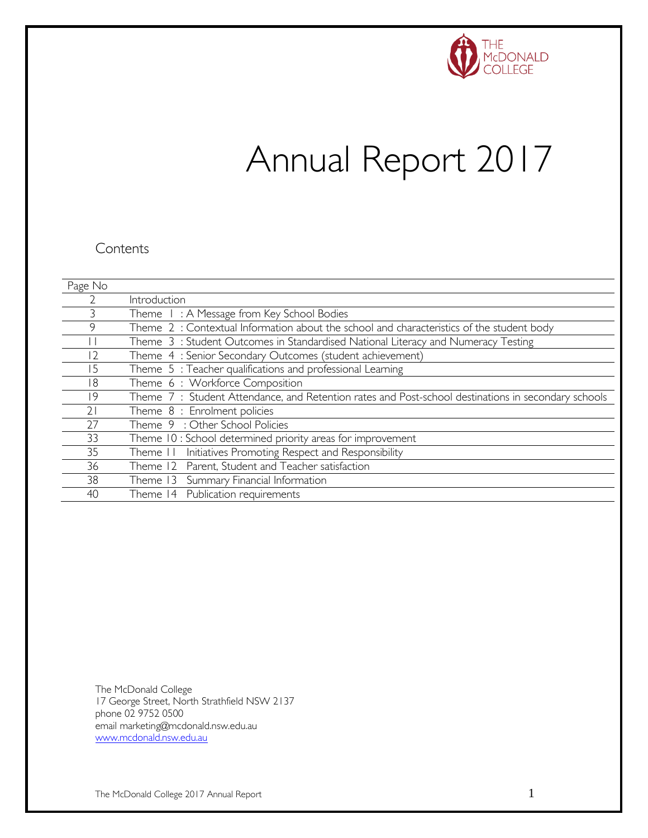

# Annual Report 2017

#### **Contents**

| Page No |                                                                                                    |
|---------|----------------------------------------------------------------------------------------------------|
|         | Introduction                                                                                       |
|         | Theme I: A Message from Key School Bodies                                                          |
| 9       | Theme 2: Contextual Information about the school and characteristics of the student body           |
|         | Theme 3: Student Outcomes in Standardised National Literacy and Numeracy Testing                   |
| 2       | Theme 4 : Senior Secondary Outcomes (student achievement)                                          |
| 15      | Theme 5: Teacher qualifications and professional Learning                                          |
| 18      | Theme 6: Workforce Composition                                                                     |
| 19      | Theme 7: Student Attendance, and Retention rates and Post-school destinations in secondary schools |
| 21      | Theme 8 : Enrolment policies                                                                       |
| 27      | Theme 9: Other School Policies                                                                     |
| 33      | Theme 10 : School determined priority areas for improvement                                        |
| 35      | Initiatives Promoting Respect and Responsibility<br>Theme II                                       |
| 36      | Theme 12 Parent, Student and Teacher satisfaction                                                  |
| 38      | Theme 13 Summary Financial Information                                                             |
| 40      | Theme 14 Publication requirements                                                                  |

The McDonald College 17 George Street, North Strathfield NSW 2137 phone 02 9752 0500 email marketing@mcdonald.nsw.edu.au [www.mcdonald.nsw.edu.au](http://www.mcdonald.nsw.edu.au/)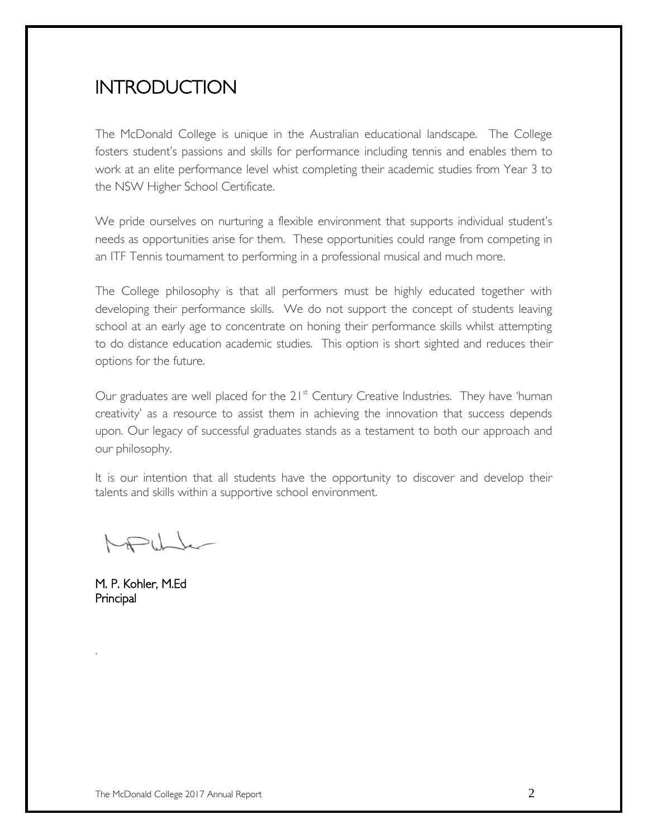### **INTRODUCTION**

The McDonald College is unique in the Australian educational landscape. The College fosters student's passions and skills for performance including tennis and enables them to work at an elite performance level whist completing their academic studies from Year 3 to the NSW Higher School Certificate.

We pride ourselves on nurturing a flexible environment that supports individual student's needs as opportunities arise for them. These opportunities could range from competing in an ITF Tennis tournament to performing in a professional musical and much more.

The College philosophy is that all performers must be highly educated together with developing their performance skills. We do not support the concept of students leaving school at an early age to concentrate on honing their performance skills whilst attempting to do distance education academic studies. This option is short sighted and reduces their options for the future.

Our graduates are well placed for the  $21<sup>st</sup>$  Century Creative Industries. They have 'human creativity' as a resource to assist them in achieving the innovation that success depends upon. Our legacy of successful graduates stands as a testament to both our approach and our philosophy.

It is our intention that all students have the opportunity to discover and develop their talents and skills within a supportive school environment.

MPULL

M. P. Kohler, M.Ed Principal

.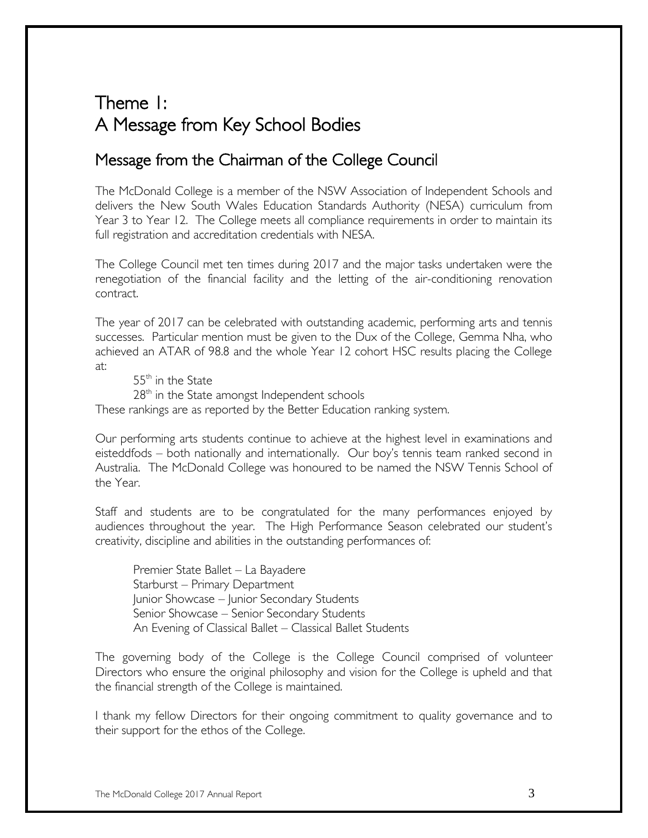# Theme 1: A Message from Key School Bodies

### Message from the Chairman of the College Council

The McDonald College is a member of the NSW Association of Independent Schools and delivers the New South Wales Education Standards Authority (NESA) curriculum from Year 3 to Year 12. The College meets all compliance requirements in order to maintain its full registration and accreditation credentials with NESA.

The College Council met ten times during 2017 and the major tasks undertaken were the renegotiation of the financial facility and the letting of the air-conditioning renovation contract.

The year of 2017 can be celebrated with outstanding academic, performing arts and tennis successes. Particular mention must be given to the Dux of the College, Gemma Nha, who achieved an ATAR of 98.8 and the whole Year 12 cohort HSC results placing the College at:

55<sup>th</sup> in the State

 $28<sup>th</sup>$  in the State amongst Independent schools

These rankings are as reported by the Better Education ranking system.

Our performing arts students continue to achieve at the highest level in examinations and eisteddfods – both nationally and internationally. Our boy's tennis team ranked second in Australia. The McDonald College was honoured to be named the NSW Tennis School of the Year.

Staff and students are to be congratulated for the many performances enjoyed by audiences throughout the year. The High Performance Season celebrated our student's creativity, discipline and abilities in the outstanding performances of:

Premier State Ballet – La Bayadere Starburst – Primary Department Junior Showcase – Junior Secondary Students Senior Showcase – Senior Secondary Students An Evening of Classical Ballet – Classical Ballet Students

The governing body of the College is the College Council comprised of volunteer Directors who ensure the original philosophy and vision for the College is upheld and that the financial strength of the College is maintained.

I thank my fellow Directors for their ongoing commitment to quality governance and to their support for the ethos of the College.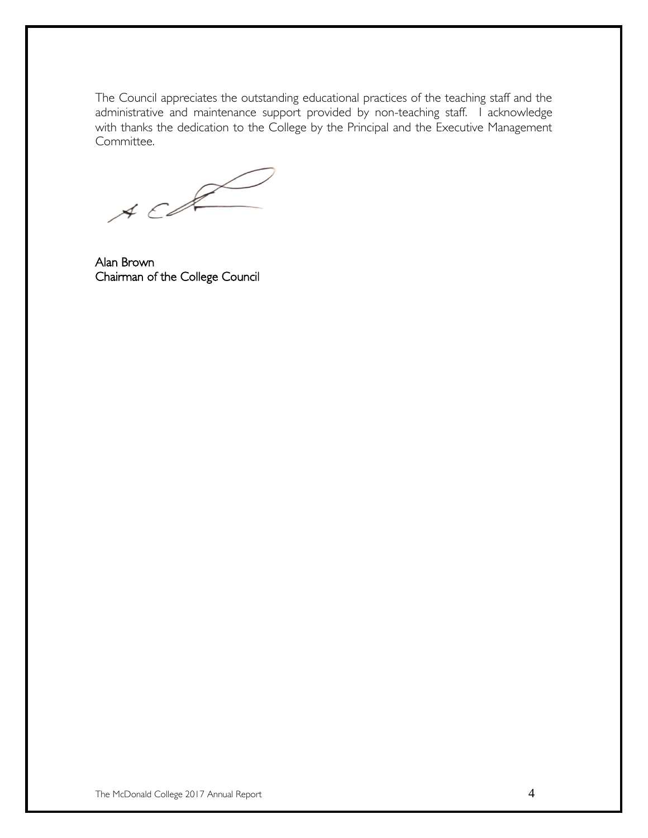The Council appreciates the outstanding educational practices of the teaching staff and the administrative and maintenance support provided by non-teaching staff. I acknowledge with thanks the dedication to the College by the Principal and the Executive Management Committee.

 $A C$ 

Alan Brown Chairman of the College Council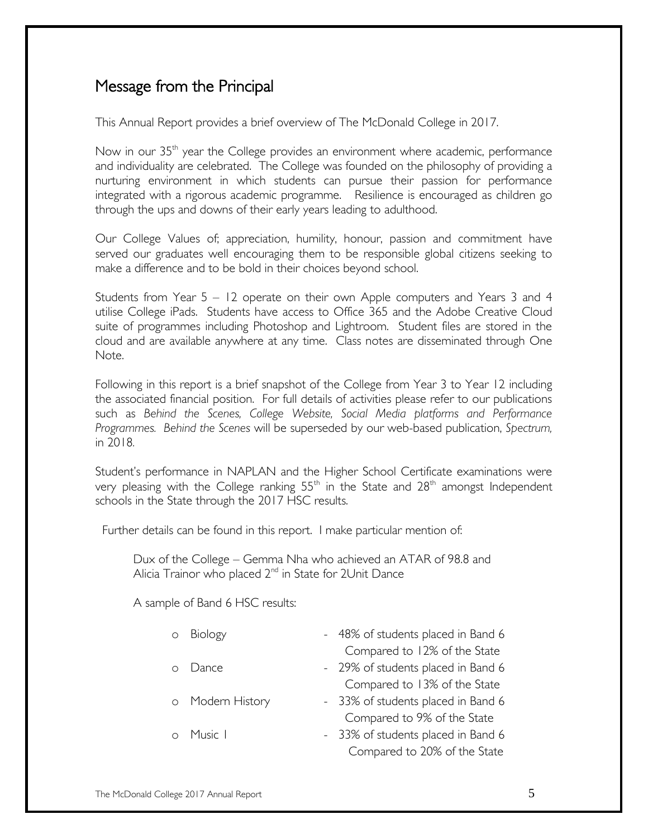### Message from the Principal

This Annual Report provides a brief overview of The McDonald College in 2017.

Now in our 35<sup>th</sup> year the College provides an environment where academic, performance and individuality are celebrated. The College was founded on the philosophy of providing a nurturing environment in which students can pursue their passion for performance integrated with a rigorous academic programme. Resilience is encouraged as children go through the ups and downs of their early years leading to adulthood.

Our College Values of; appreciation, humility, honour, passion and commitment have served our graduates well encouraging them to be responsible global citizens seeking to make a difference and to be bold in their choices beyond school.

Students from Year 5 – 12 operate on their own Apple computers and Years 3 and 4 utilise College iPads. Students have access to Office 365 and the Adobe Creative Cloud suite of programmes including Photoshop and Lightroom. Student files are stored in the cloud and are available anywhere at any time. Class notes are disseminated through One Note.

Following in this report is a brief snapshot of the College from Year 3 to Year 12 including the associated financial position. For full details of activities please refer to our publications such as *Behind the Scenes, College Website, Social Media platforms and Performance Programmes. Behind the Scenes* will be superseded by our web-based publication, *Spectrum,*  in 2018*.*

Student's performance in NAPLAN and the Higher School Certificate examinations were very pleasing with the College ranking  $55<sup>th</sup>$  in the State and  $28<sup>th</sup>$  amongst Independent schools in the State through the 2017 HSC results.

Further details can be found in this report. I make particular mention of:

Dux of the College – Gemma Nha who achieved an ATAR of 98.8 and Alicia Trainor who placed  $2<sup>nd</sup>$  in State for 2Unit Dance

A sample of Band 6 HSC results:

| o Biology        | - 48% of students placed in Band 6 |
|------------------|------------------------------------|
|                  | Compared to 12% of the State       |
| o Dance          | - 29% of students placed in Band 6 |
|                  | Compared to 13% of the State       |
| o Modern History | - 33% of students placed in Band 6 |
|                  | Compared to 9% of the State        |
| o Music I        | - 33% of students placed in Band 6 |
|                  | Compared to 20% of the State       |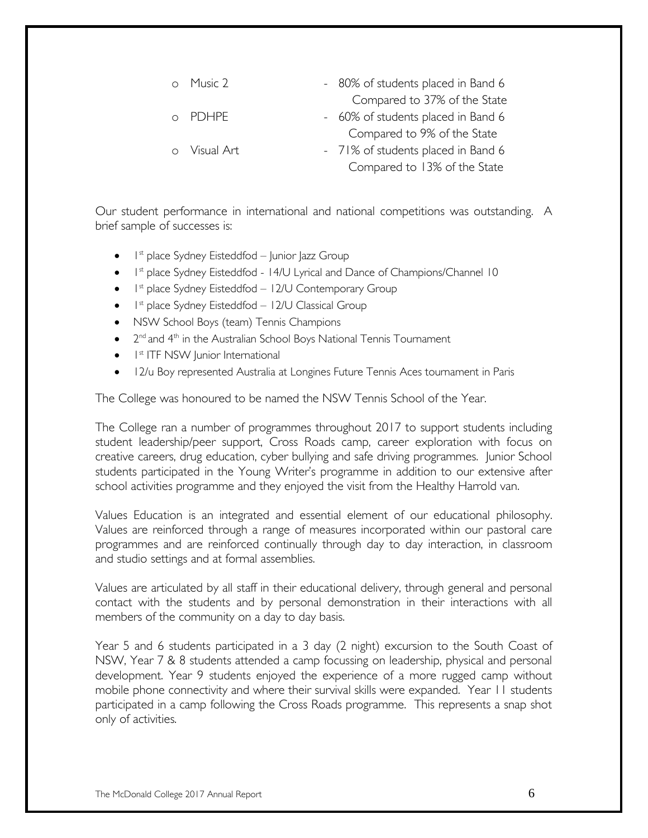| o Music 2    | - 80% of students placed in Band 6 |
|--------------|------------------------------------|
|              | Compared to 37% of the State       |
| o PDHPE      | - 60% of students placed in Band 6 |
|              | Compared to 9% of the State        |
| o Visual Art | - 71% of students placed in Band 6 |
|              | Compared to 13% of the State       |

Our student performance in international and national competitions was outstanding. A brief sample of successes is:

- I<sup>st</sup> place Sydney Eisteddfod Junior Jazz Group
- I<sup>st</sup> place Sydney Eisteddfod 14/U Lyrical and Dance of Champions/Channel 10
- I<sup>st</sup> place Sydney Eisteddfod 12/U Contemporary Group
- I<sup>st</sup> place Sydney Eisteddfod 12/U Classical Group
- NSW School Boys (team) Tennis Champions
- 2<sup>nd</sup> and 4<sup>th</sup> in the Australian School Boys National Tennis Tournament
- I<sup>st</sup> ITF NSW Junior International
- 12/u Boy represented Australia at Longines Future Tennis Aces tournament in Paris

The College was honoured to be named the NSW Tennis School of the Year.

The College ran a number of programmes throughout 2017 to support students including student leadership/peer support, Cross Roads camp, career exploration with focus on creative careers, drug education, cyber bullying and safe driving programmes. Junior School students participated in the Young Writer's programme in addition to our extensive after school activities programme and they enjoyed the visit from the Healthy Harrold van.

Values Education is an integrated and essential element of our educational philosophy. Values are reinforced through a range of measures incorporated within our pastoral care programmes and are reinforced continually through day to day interaction, in classroom and studio settings and at formal assemblies.

Values are articulated by all staff in their educational delivery, through general and personal contact with the students and by personal demonstration in their interactions with all members of the community on a day to day basis.

Year 5 and 6 students participated in a 3 day (2 night) excursion to the South Coast of NSW, Year 7 & 8 students attended a camp focussing on leadership, physical and personal development. Year 9 students enjoyed the experience of a more rugged camp without mobile phone connectivity and where their survival skills were expanded. Year 11 students participated in a camp following the Cross Roads programme. This represents a snap shot only of activities.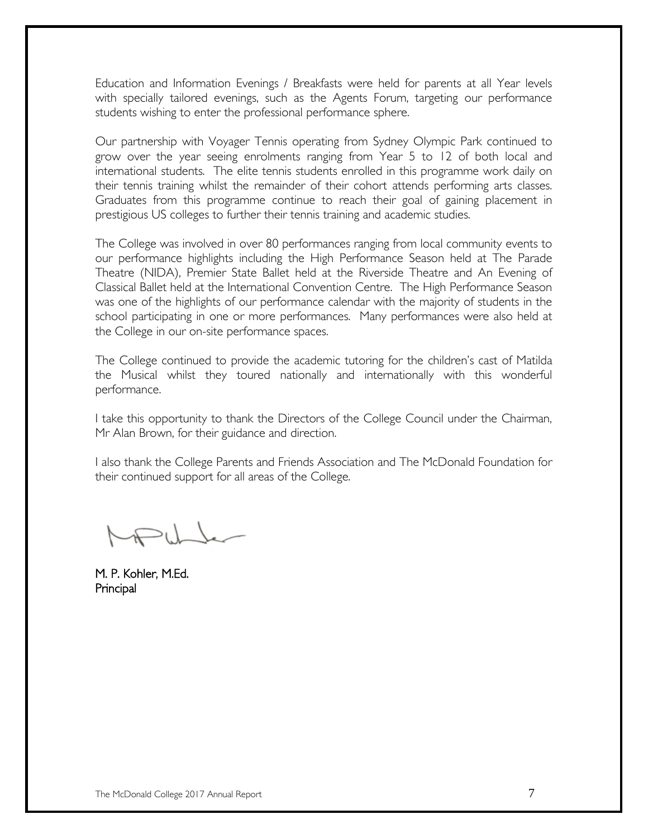Education and Information Evenings / Breakfasts were held for parents at all Year levels with specially tailored evenings, such as the Agents Forum, targeting our performance students wishing to enter the professional performance sphere.

Our partnership with Voyager Tennis operating from Sydney Olympic Park continued to grow over the year seeing enrolments ranging from Year 5 to 12 of both local and international students. The elite tennis students enrolled in this programme work daily on their tennis training whilst the remainder of their cohort attends performing arts classes. Graduates from this programme continue to reach their goal of gaining placement in prestigious US colleges to further their tennis training and academic studies.

The College was involved in over 80 performances ranging from local community events to our performance highlights including the High Performance Season held at The Parade Theatre (NIDA), Premier State Ballet held at the Riverside Theatre and An Evening of Classical Ballet held at the International Convention Centre. The High Performance Season was one of the highlights of our performance calendar with the majority of students in the school participating in one or more performances. Many performances were also held at the College in our on-site performance spaces.

The College continued to provide the academic tutoring for the children's cast of Matilda the Musical whilst they toured nationally and internationally with this wonderful performance.

I take this opportunity to thank the Directors of the College Council under the Chairman, Mr Alan Brown, for their guidance and direction.

I also thank the College Parents and Friends Association and The McDonald Foundation for their continued support for all areas of the College.

M. P. Kohler, M.Ed. Principal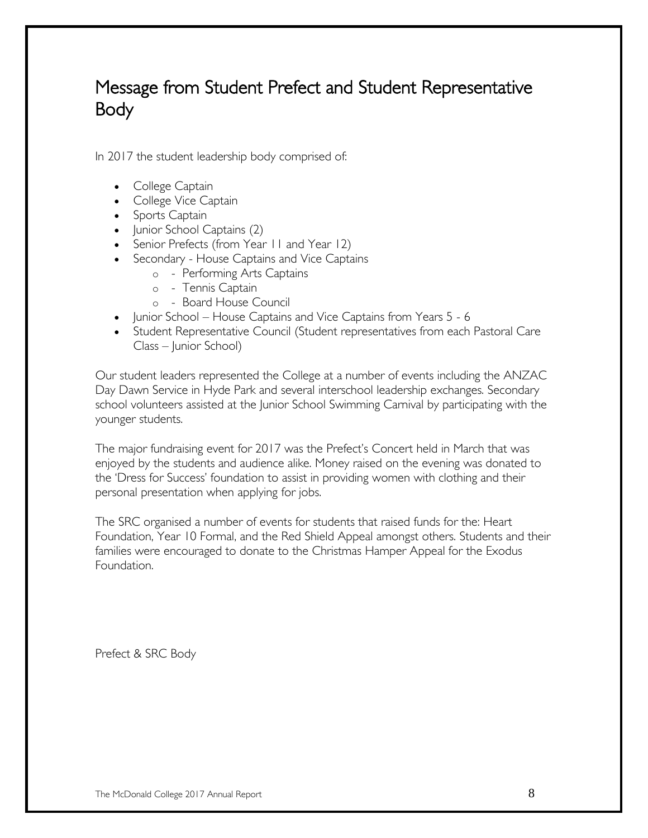### Message from Student Prefect and Student Representative Body

In 2017 the student leadership body comprised of:

- College Captain
- College Vice Captain
- Sports Captain
- Junior School Captains (2)
- Senior Prefects (from Year II and Year 12)
- Secondary House Captains and Vice Captains
	- o Performing Arts Captains
	- o Tennis Captain
	- o Board House Council
- Junior School House Captains and Vice Captains from Years 5 6
- Student Representative Council (Student representatives from each Pastoral Care Class – Junior School)

Our student leaders represented the College at a number of events including the ANZAC Day Dawn Service in Hyde Park and several interschool leadership exchanges. Secondary school volunteers assisted at the Junior School Swimming Carnival by participating with the younger students.

The major fundraising event for 2017 was the Prefect's Concert held in March that was enjoyed by the students and audience alike. Money raised on the evening was donated to the 'Dress for Success' foundation to assist in providing women with clothing and their personal presentation when applying for jobs.

The SRC organised a number of events for students that raised funds for the: Heart Foundation, Year 10 Formal, and the Red Shield Appeal amongst others. Students and their families were encouraged to donate to the Christmas Hamper Appeal for the Exodus Foundation.

Prefect & SRC Body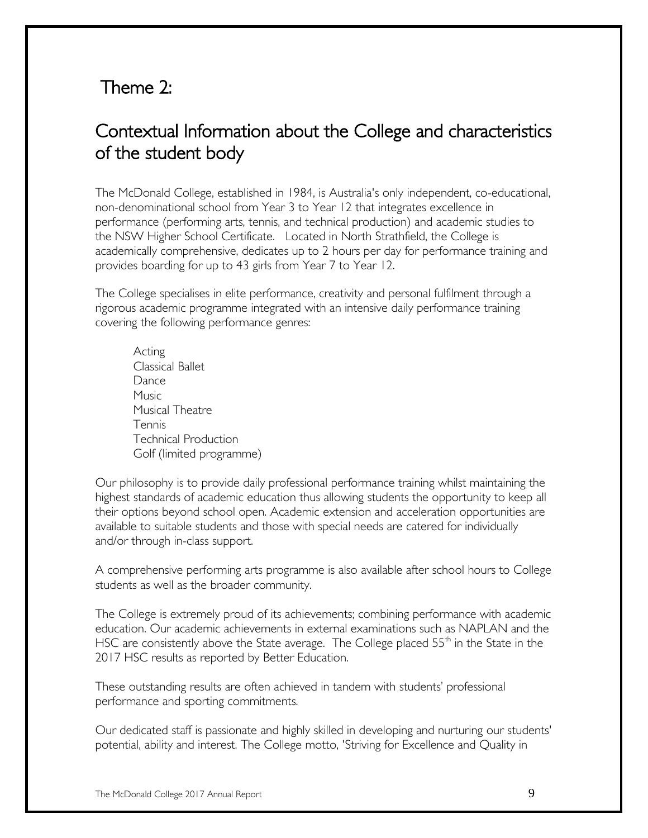### Theme 2:

# Contextual Information about the College and characteristics of the student body

The McDonald College, established in 1984, is Australia's only independent, co-educational, non-denominational school from Year 3 to Year 12 that integrates excellence in performance (performing arts, tennis, and technical production) and academic studies to the NSW Higher School Certificate. Located in North Strathfield, the College is academically comprehensive, dedicates up to 2 hours per day for performance training and provides boarding for up to 43 girls from Year 7 to Year 12.

The College specialises in elite performance, creativity and personal fulfilment through a rigorous academic programme integrated with an intensive daily performance training covering the following performance genres:

Acting Classical Ballet **Dance** Music Musical Theatre Tennis Technical Production Golf (limited programme)

Our philosophy is to provide daily professional performance training whilst maintaining the highest standards of academic education thus allowing students the opportunity to keep all their options beyond school open. Academic extension and acceleration opportunities are available to suitable students and those with special needs are catered for individually and/or through in-class support.

A comprehensive performing arts programme is also available after school hours to College students as well as the broader community.

The College is extremely proud of its achievements; combining performance with academic education. Our academic achievements in external examinations such as NAPLAN and the HSC are consistently above the State average. The College placed 55<sup>th</sup> in the State in the 2017 HSC results as reported by Better Education.

These outstanding results are often achieved in tandem with students' professional performance and sporting commitments.

Our dedicated staff is passionate and highly skilled in developing and nurturing our students' potential, ability and interest. The College motto, 'Striving for Excellence and Quality in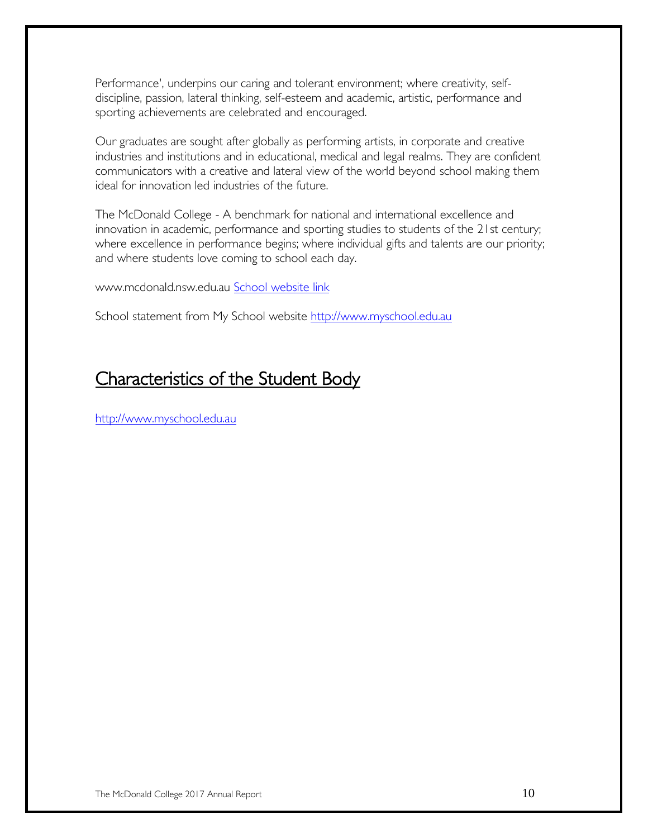Performance', underpins our caring and tolerant environment; where creativity, selfdiscipline, passion, lateral thinking, self-esteem and academic, artistic, performance and sporting achievements are celebrated and encouraged.

Our graduates are sought after globally as performing artists, in corporate and creative industries and institutions and in educational, medical and legal realms. They are confident communicators with a creative and lateral view of the world beyond school making them ideal for innovation led industries of the future.

The McDonald College - A benchmark for national and international excellence and innovation in academic, performance and sporting studies to students of the 21st century; where excellence in performance begins; where individual gifts and talents are our priority; and where students love coming to school each day.

www.mcdonald.nsw.edu.au School website link

School statement from My School website http://www.myschool.edu.au

### Characteristics of the Student Body

http://www.myschool.edu.au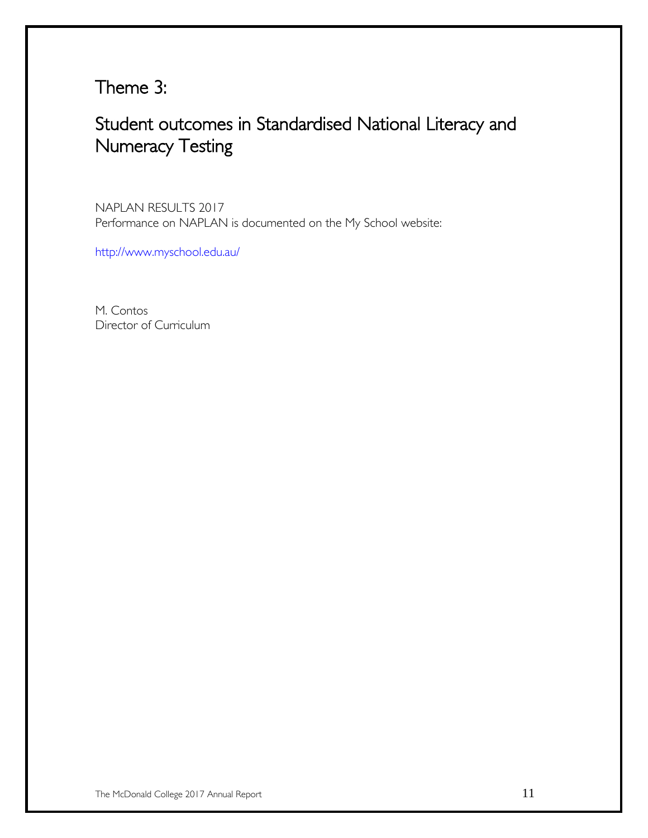# Theme 3:

# Student outcomes in Standardised National Literacy and Numeracy Testing

NAPLAN RESULTS 2017 Performance on NAPLAN is documented on the My School website:

http://www.myschool.edu.au/

M. Contos Director of Curriculum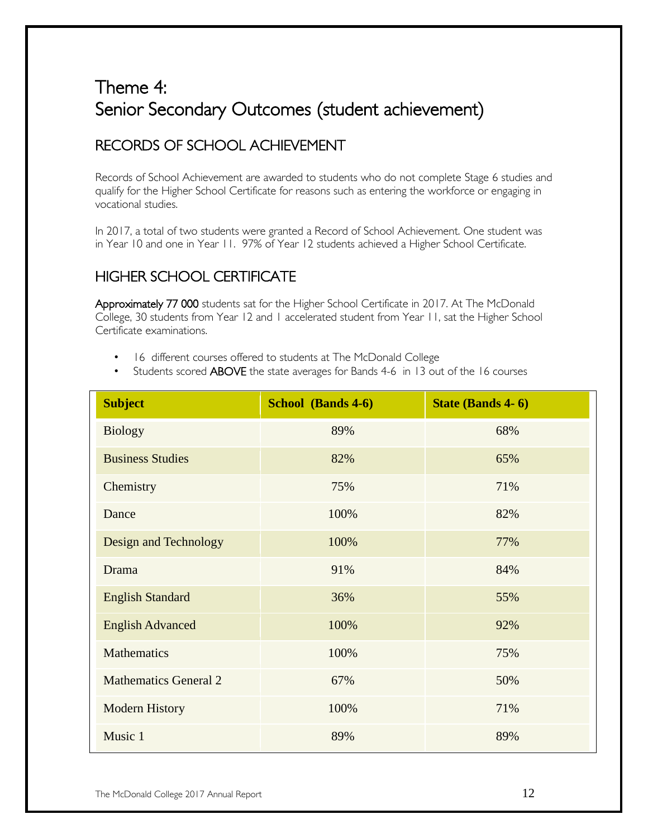# Theme 4: Senior Secondary Outcomes (student achievement)

### RECORDS OF SCHOOL ACHIEVEMENT

Records of School Achievement are awarded to students who do not complete Stage 6 studies and qualify for the Higher School Certificate for reasons such as entering the workforce or engaging in vocational studies.

In 2017, a total of two students were granted a Record of School Achievement. One student was in Year 10 and one in Year 11. 97% of Year 12 students achieved a Higher School Certificate.

### HIGHER SCHOOL CERTIFICATE

Approximately 77 000 students sat for the Higher School Certificate in 2017. At The McDonald College, 30 students from Year 12 and 1 accelerated student from Year 11, sat the Higher School Certificate examinations.

- 16 different courses offered to students at The McDonald College
- Students scored ABOVE the state averages for Bands 4-6 in 13 out of the 16 courses

| <b>Subject</b>               | <b>School</b> (Bands 4-6) | State (Bands 4-6) |
|------------------------------|---------------------------|-------------------|
| <b>Biology</b>               | 89%                       | 68%               |
| <b>Business Studies</b>      | 82%                       | 65%               |
| Chemistry                    | 75%                       | 71%               |
| Dance                        | 100%                      | 82%               |
| Design and Technology        | 100%                      | 77%               |
| Drama                        | 91%                       | 84%               |
| <b>English Standard</b>      | 36%                       | 55%               |
| <b>English Advanced</b>      | 100%                      | 92%               |
| <b>Mathematics</b>           | 100%                      | 75%               |
| <b>Mathematics General 2</b> | 67%                       | 50%               |
| <b>Modern History</b>        | 100%                      | 71%               |
| Music 1                      | 89%                       | 89%               |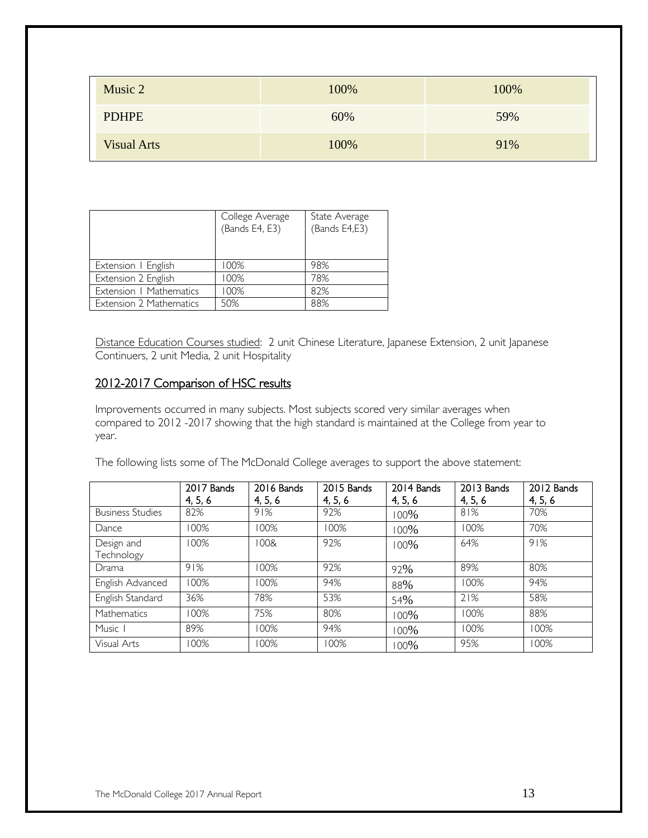| Music 2            | 100% | 100% |
|--------------------|------|------|
| <b>PDHPE</b>       | 60%  | 59%  |
| <b>Visual Arts</b> | 100% | 91%  |

|                         | College Average<br>(Bands E4, E3) | State Average<br>(Bands E4,E3) |
|-------------------------|-----------------------------------|--------------------------------|
| Extension   English     | 100%                              | 98%                            |
| Extension 2 English     | 100%                              | 78%                            |
| Extension   Mathematics | 100%                              | 82%                            |
| Extension 2 Mathematics | 50%                               | 88%                            |

Distance Education Courses studied: 2 unit Chinese Literature, Japanese Extension, 2 unit Japanese Continuers, 2 unit Media, 2 unit Hospitality

#### 2012-2017 Comparison of HSC results

Improvements occurred in many subjects. Most subjects scored very similar averages when compared to 2012 -2017 showing that the high standard is maintained at the College from year to year.

The following lists some of The McDonald College averages to support the above statement:

|                          | 2017 Bands<br>4, 5, 6 | 2016 Bands<br>4, 5, 6 | 2015 Bands<br>4, 5, 6 | 2014 Bands<br>4, 5, 6 | 2013 Bands<br>4, 5, 6 | 2012 Bands<br>4, 5, 6 |
|--------------------------|-----------------------|-----------------------|-----------------------|-----------------------|-----------------------|-----------------------|
| <b>Business Studies</b>  | 82%                   | 91%                   | 92%                   | 100%                  | 81%                   | 70%                   |
| Dance                    | 100%                  | 100%                  | 100%                  | 100%                  | 100%                  | 70%                   |
| Design and<br>Technology | $100\%$               | 1008                  | 92%                   | 100%                  | 64%                   | 91%                   |
| Drama                    | 91%                   | 100%                  | 92%                   | 92%                   | 89%                   | 80%                   |
| English Advanced         | 100%                  | 100%                  | 94%                   | 88%                   | 100%                  | 94%                   |
| English Standard         | 36%                   | 78%                   | 53%                   | 54%                   | 21%                   | 58%                   |
| Mathematics              | 100%                  | 75%                   | 80%                   | $100\%$               | 100%                  | 88%                   |
| Music I                  | 89%                   | 100%                  | 94%                   | 100%                  | 100%                  | 100%                  |
| Visual Arts              | 100%                  | 100%                  | 100%                  | 100%                  | 95%                   | 100%                  |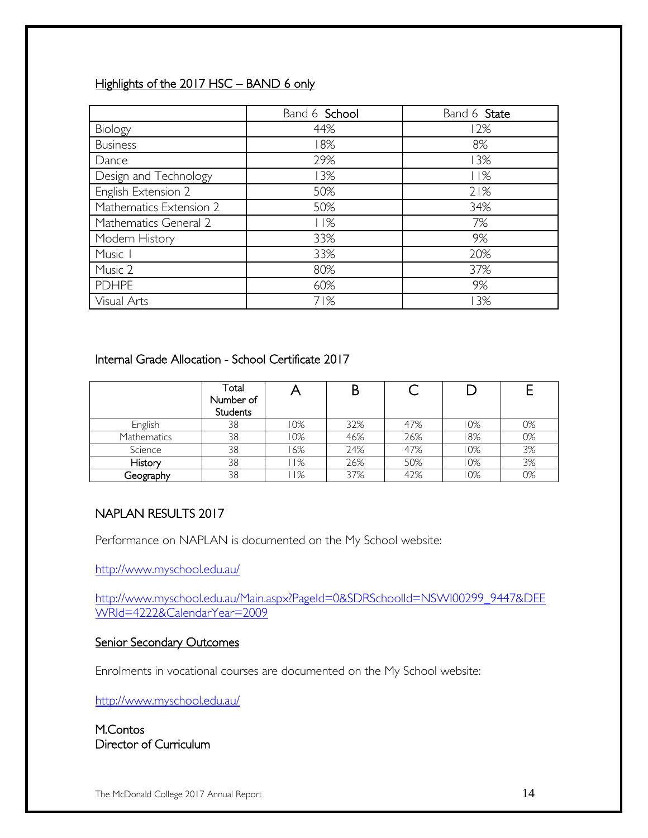#### Highlights of the 2017 HSC - BAND 6 only

|                         | Band 6 School | Band 6 State |
|-------------------------|---------------|--------------|
| Biology                 | 44%           | 12%          |
| <b>Business</b>         | 18%           | 8%           |
| Dance                   | 29%           | 13%          |
| Design and Technology   | 13%           | 11%          |
| English Extension 2     | 50%           | 21%          |
| Mathematics Extension 2 | 50%           | 34%          |
| Mathematics General 2   | 11%           | 7%           |
| Modern History          | 33%           | 9%           |
| Music I                 | 33%           | 20%          |
| Music 2                 | 80%           | 37%          |
| <b>PDHPE</b>            | 60%           | 9%           |
| Visual Arts             | 71%           | 13%          |

#### Internal Grade Allocation - School Certificate 2017

|                  | Total<br>Number of<br><b>Students</b> |     | B   |     |     |    |
|------------------|---------------------------------------|-----|-----|-----|-----|----|
| English          | 38                                    | 0%  | 32% | 47% | 10% | 0% |
| Mathematics      | 38                                    | 10% | 46% | 26% | 18% | 0% |
| Science          | 38                                    | 6%  | 24% | 47% | 10% | 3% |
| History          | 38                                    | 1%  | 26% | 50% | 10% | 3% |
| <u>Geography</u> | 38                                    | 1%  | 37% | 42% | 10% | 0% |

#### NAPLAN RESULTS 2017

Performance on NAPLAN is documented on the My School website:

<http://www.myschool.edu.au/>

[http://www.myschool.edu.au/Main.aspx?PageId=0&SDRSchoolId=NSWI00299\\_9447&DEE](http://www.myschool.edu.au/Main.aspx?PageId=0&SDRSchoolId=NSWI00299_9447&DEEWRId=4222&CalendarYear=2009) [WRId=4222&CalendarYear=2009](http://www.myschool.edu.au/Main.aspx?PageId=0&SDRSchoolId=NSWI00299_9447&DEEWRId=4222&CalendarYear=2009)

#### Senior Secondary Outcomes

Enrolments in vocational courses are documented on the My School website:

<http://www.myschool.edu.au/>

M.Contos Director of Curriculum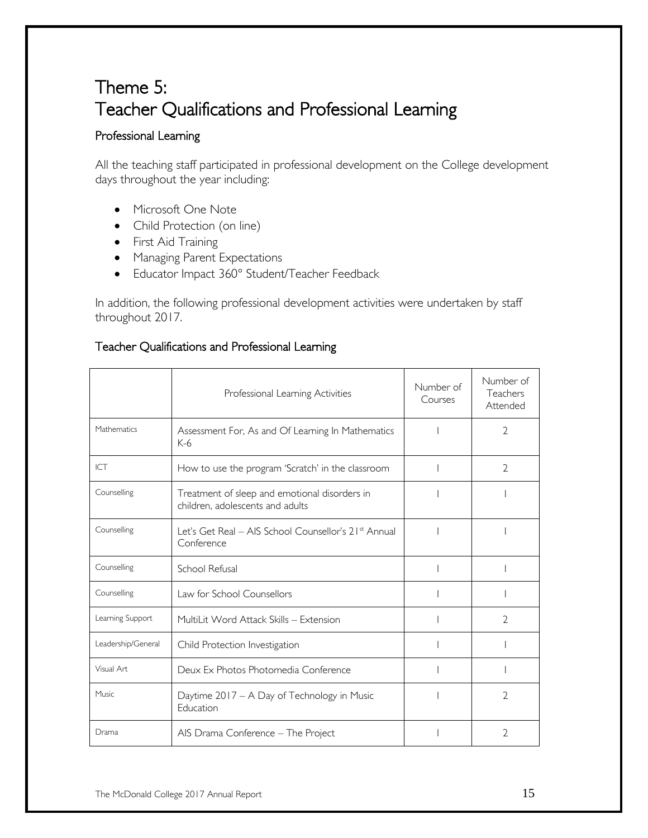# Theme 5: Teacher Qualifications and Professional Learning

#### Professional Learning

All the teaching staff participated in professional development on the College development days throughout the year including:

- Microsoft One Note
- Child Protection (on line)
- First Aid Training
- Managing Parent Expectations
- Educator Impact 360° Student/Teacher Feedback

In addition, the following professional development activities were undertaken by staff throughout 2017.

#### Teacher Qualifications and Professional Learning

|                    | Professional Learning Activities                                                  | Number of<br>Courses | Number of<br>Teachers<br>Attended |
|--------------------|-----------------------------------------------------------------------------------|----------------------|-----------------------------------|
| Mathematics        | Assessment For, As and Of Learning In Mathematics<br>K-6                          |                      | 2                                 |
| $\overline{CT}$    | How to use the program 'Scratch' in the classroom                                 |                      | $\mathcal{L}$                     |
| Counselling        | Treatment of sleep and emotional disorders in<br>children, adolescents and adults |                      |                                   |
| Counselling        | Let's Get Real - AIS School Counsellor's 21st Annual<br>Conference                |                      |                                   |
| Counselling        | School Refusal                                                                    |                      |                                   |
| Counselling        | Law for School Counsellors                                                        |                      |                                   |
| Learning Support   | MultiLit Word Attack Skills - Extension                                           |                      | $\mathcal{D}$                     |
| Leadership/General | Child Protection Investigation                                                    |                      |                                   |
| Visual Art         | Deux Ex Photos Photomedia Conference                                              |                      |                                   |
| Music              | Daytime 2017 - A Day of Technology in Music<br>Education                          |                      | $\mathcal{D}$                     |
| Drama              | AIS Drama Conference – The Project                                                |                      | $\mathcal{D}$                     |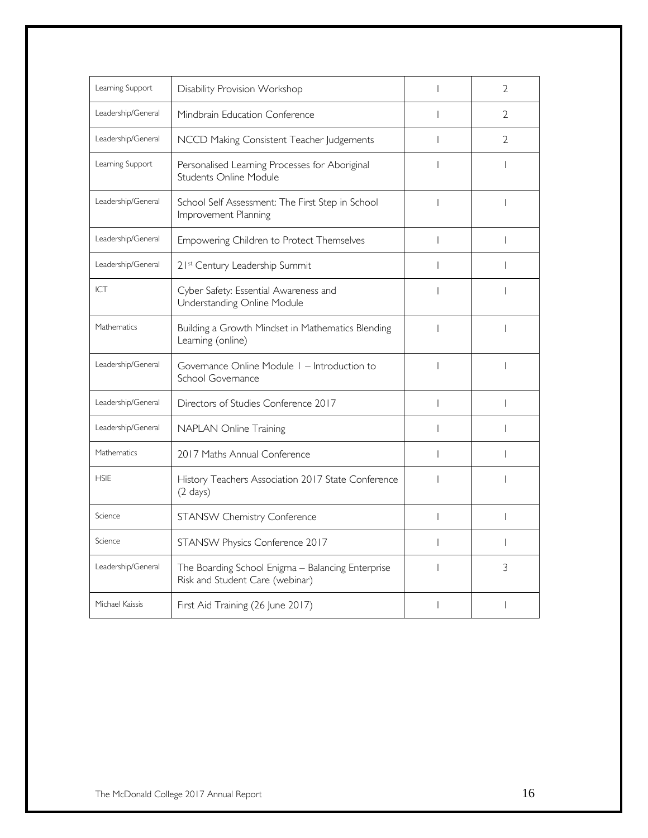| Learning Support                                                                                           | Disability Provision Workshop                                            |                          | 2              |
|------------------------------------------------------------------------------------------------------------|--------------------------------------------------------------------------|--------------------------|----------------|
| Leadership/General                                                                                         | Mindbrain Education Conference                                           |                          | 2              |
| Leadership/General                                                                                         | NCCD Making Consistent Teacher Judgements                                | L                        | 2              |
| Learning Support                                                                                           | Personalised Learning Processes for Aboriginal<br>Students Online Module |                          |                |
| Leadership/General                                                                                         | School Self Assessment: The First Step in School<br>Improvement Planning | $\overline{\phantom{a}}$ | $\overline{1}$ |
| Leadership/General                                                                                         | Empowering Children to Protect Themselves                                | $\overline{1}$           | $\mathbf{I}$   |
| Leadership/General                                                                                         | 21st Century Leadership Summit                                           | T                        | $\mathbf{I}$   |
| ICT                                                                                                        | Cyber Safety: Essential Awareness and<br>Understanding Online Module     | I                        |                |
| Mathematics                                                                                                | Building a Growth Mindset in Mathematics Blending<br>Learning (online)   |                          |                |
| Leadership/General<br>Governance Online Module I – Introduction to<br>School Governance                    |                                                                          | $\overline{1}$           |                |
| Leadership/General                                                                                         | Directors of Studies Conference 2017                                     |                          | ı              |
| Leadership/General                                                                                         | <b>NAPLAN Online Training</b>                                            | T                        | $\mathbf{I}$   |
| Mathematics                                                                                                | 2017 Maths Annual Conference                                             |                          | L              |
| <b>HSIE</b><br>History Teachers Association 2017 State Conference<br>$(2 \text{ days})$                    |                                                                          |                          |                |
| Science                                                                                                    | STANSW Chemistry Conference                                              | T                        | $\mathbf{I}$   |
| Science                                                                                                    | STANSW Physics Conference 2017                                           |                          | I              |
| Leadership/General<br>The Boarding School Enigma - Balancing Enterprise<br>Risk and Student Care (webinar) |                                                                          |                          | 3              |
| Michael Kaissis                                                                                            | First Aid Training (26 June 2017)                                        |                          |                |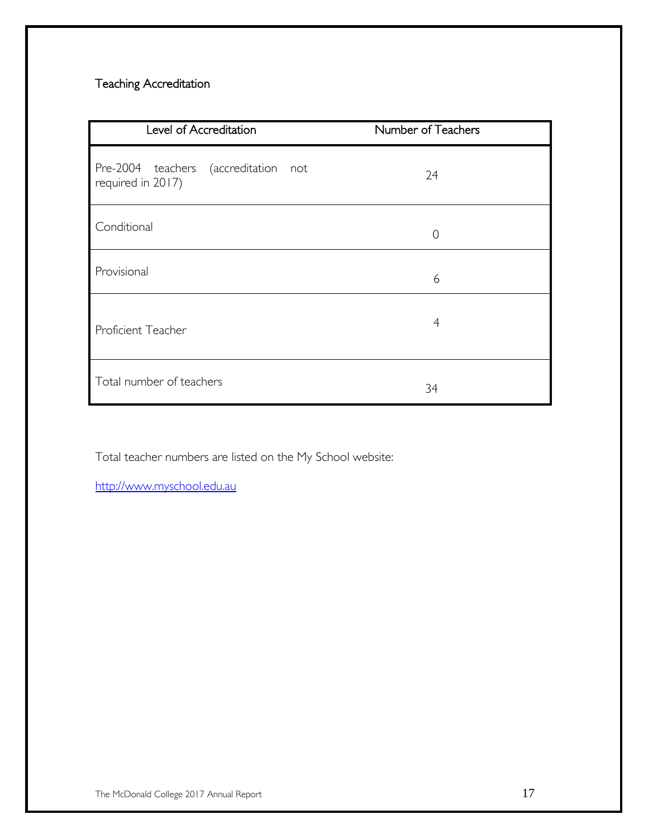### Teaching Accreditation

| Level of Accreditation                                    |  | Number of Teachers |  |
|-----------------------------------------------------------|--|--------------------|--|
| Pre-2004 teachers (accreditation not<br>required in 2017) |  | 24                 |  |
| Conditional                                               |  | $\Omega$           |  |
| Provisional                                               |  | 6                  |  |
| Proficient Teacher                                        |  | $\overline{4}$     |  |
| Total number of teachers                                  |  | 34                 |  |

Total teacher numbers are listed on the My School website:

[http://www.myschool.edu.au](http://www.myschool.edu.au/)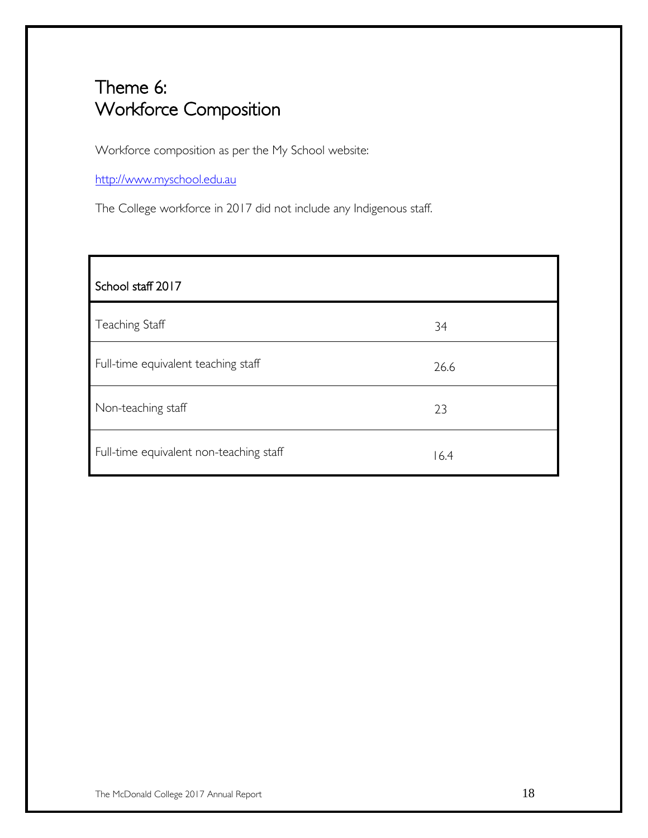# Theme 6: Workforce Composition

Workforce composition as per the My School website:

[http://www.myschool.edu.au](http://www.myschool.edu.au/)

The College workforce in 2017 did not include any Indigenous staff.

| School staff 2017                       |      |
|-----------------------------------------|------|
| Teaching Staff                          | 34   |
| Full-time equivalent teaching staff     | 26.6 |
| Non-teaching staff                      | 23   |
| Full-time equivalent non-teaching staff | 16.4 |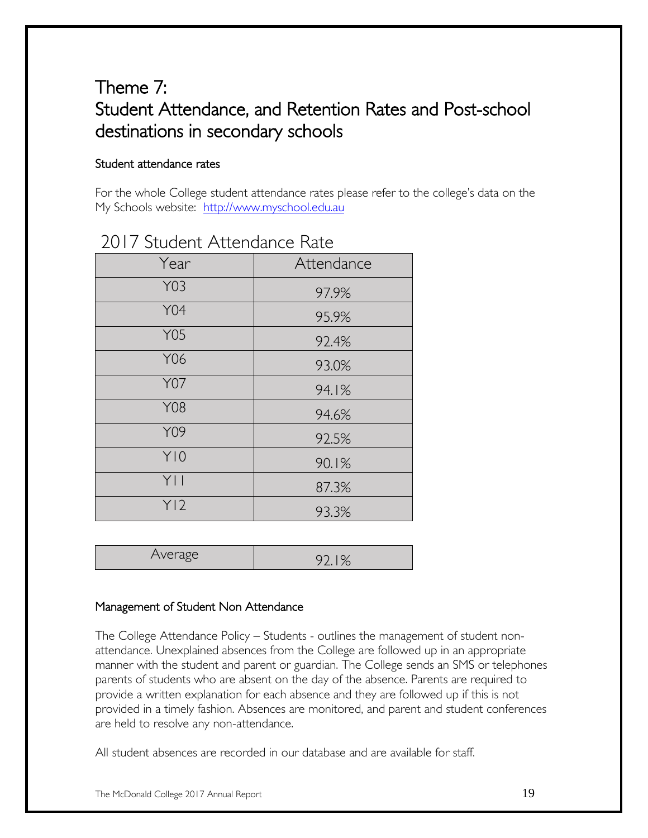# Theme 7: Student Attendance, and Retention Rates and Post-school destinations in secondary schools

#### Student attendance rates

For the whole College student attendance rates please refer to the college's data on the My Schools website: [http://www.myschool.edu.au](http://www.myschool.edu.au/)

| Year       | Attendance |
|------------|------------|
| Y03        | 97.9%      |
| <b>Y04</b> | 95.9%      |
| <b>Y05</b> | 92.4%      |
| Y06        | 93.0%      |
| <b>Y07</b> | 94.1%      |
| <b>Y08</b> | 94.6%      |
| Y09        | 92.5%      |
| Y10        | 90.1%      |
| Y          | 87.3%      |
| Y12        | 93.3%      |

### 2017 Student Attendance Rate

| Average | ч |
|---------|---|
|---------|---|

#### Management of Student Non Attendance

The College Attendance Policy – Students - outlines the management of student nonattendance. Unexplained absences from the College are followed up in an appropriate manner with the student and parent or guardian. The College sends an SMS or telephones parents of students who are absent on the day of the absence. Parents are required to provide a written explanation for each absence and they are followed up if this is not provided in a timely fashion. Absences are monitored, and parent and student conferences are held to resolve any non-attendance.

All student absences are recorded in our database and are available for staff.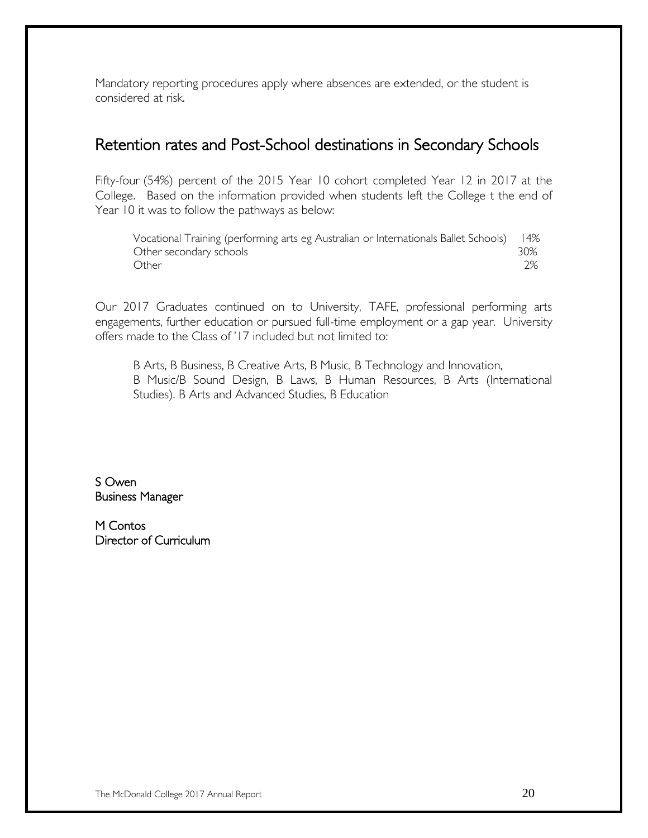Mandatory reporting procedures apply where absences are extended, or the student is considered at risk.

### Retention rates and Post-School destinations in Secondary Schools

Fifty-four (54%) percent of the 2015 Year 10 cohort completed Year 12 in 2017 at the College. Based on the information provided when students left the College t the end of Year 10 it was to follow the pathways as below:

Vocational Training (performing arts eg Australian or Internationals Ballet Schools) 14% Other secondary schools 30% Other 2%

Our 2017 Graduates continued on to University, TAFE, professional performing arts engagements, further education or pursued full-time employment or a gap year. University offers made to the Class of '17 included but not limited to:

B Arts, B Business, B Creative Arts, B Music, B Technology and Innovation, B Music/B Sound Design, B Laws, B Human Resources, B Arts (International Studies). B Arts and Advanced Studies, B Education

S Owen Business Manager

M Contos Director of Curriculum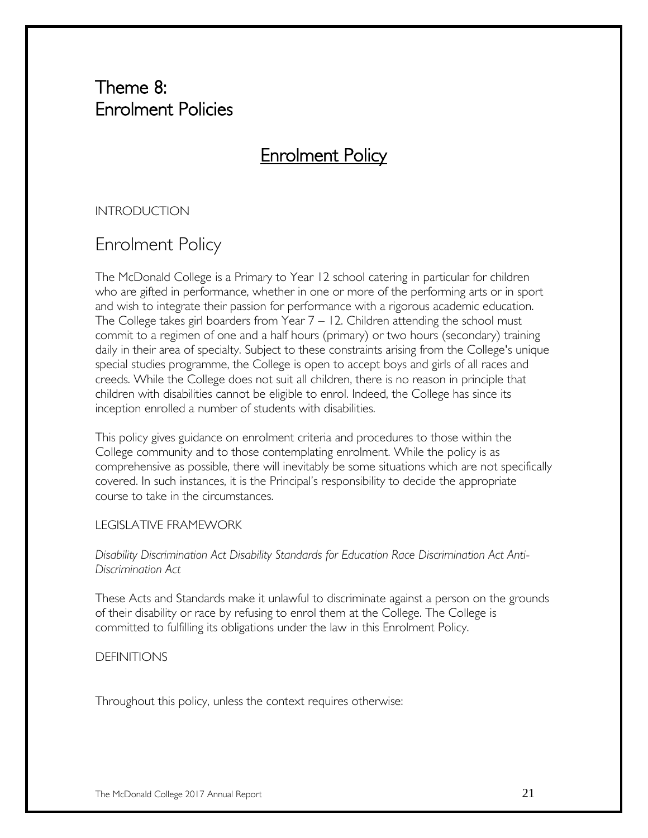### Theme 8: Enrolment Policies

### Enrolment Policy

#### INTRODUCTION

### Enrolment Policy

The McDonald College is a Primary to Year 12 school catering in particular for children who are gifted in performance, whether in one or more of the performing arts or in sport and wish to integrate their passion for performance with a rigorous academic education. The College takes girl boarders from Year  $7 - 12$ . Children attending the school must commit to a regimen of one and a half hours (primary) or two hours (secondary) training daily in their area of specialty. Subject to these constraints arising from the College's unique special studies programme, the College is open to accept boys and girls of all races and creeds. While the College does not suit all children, there is no reason in principle that children with disabilities cannot be eligible to enrol. Indeed, the College has since its inception enrolled a number of students with disabilities.

This policy gives guidance on enrolment criteria and procedures to those within the College community and to those contemplating enrolment. While the policy is as comprehensive as possible, there will inevitably be some situations which are not specifically covered. In such instances, it is the Principal's responsibility to decide the appropriate course to take in the circumstances.

#### LEGISLATIVE FRAMEWORK

*Disability Discrimination Act Disability Standards for Education Race Discrimination Act Anti-Discrimination Act* 

These Acts and Standards make it unlawful to discriminate against a person on the grounds of their disability or race by refusing to enrol them at the College. The College is committed to fulfilling its obligations under the law in this Enrolment Policy.

#### **DEFINITIONS**

Throughout this policy, unless the context requires otherwise: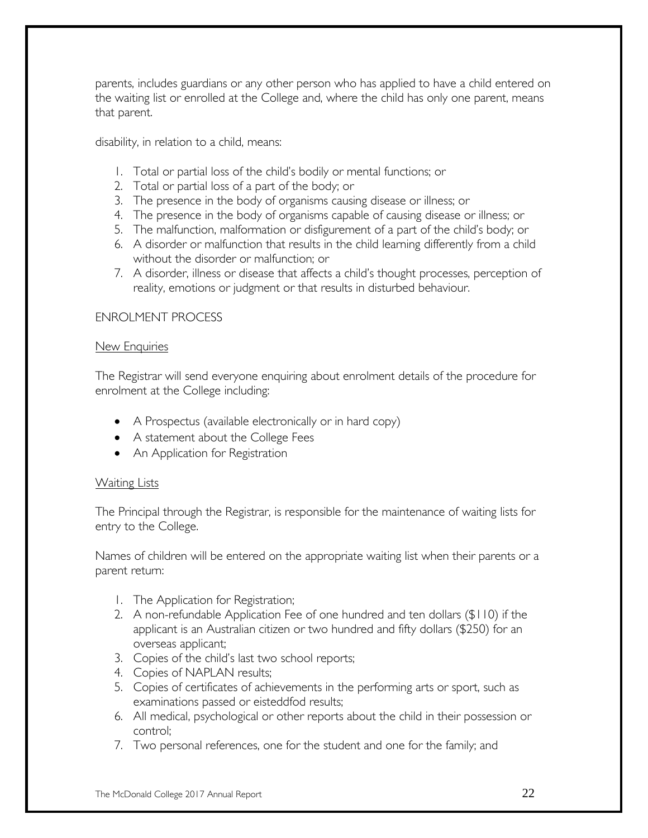parents, includes guardians or any other person who has applied to have a child entered on the waiting list or enrolled at the College and, where the child has only one parent, means that parent.

disability, in relation to a child, means:

- 1. Total or partial loss of the child's bodily or mental functions; or
- 2. Total or partial loss of a part of the body; or
- 3. The presence in the body of organisms causing disease or illness; or
- 4. The presence in the body of organisms capable of causing disease or illness; or
- 5. The malfunction, malformation or disfigurement of a part of the child's body; or
- 6. A disorder or malfunction that results in the child learning differently from a child without the disorder or malfunction; or
- 7. A disorder, illness or disease that affects a child's thought processes, perception of reality, emotions or judgment or that results in disturbed behaviour.

#### ENROLMENT PROCESS

#### New Enquiries

The Registrar will send everyone enquiring about enrolment details of the procedure for enrolment at the College including:

- A Prospectus (available electronically or in hard copy)
- A statement about the College Fees
- An Application for Registration

#### Waiting Lists

The Principal through the Registrar, is responsible for the maintenance of waiting lists for entry to the College.

Names of children will be entered on the appropriate waiting list when their parents or a parent return:

- 1. The Application for Registration;
- 2. A non-refundable Application Fee of one hundred and ten dollars (\$110) if the applicant is an Australian citizen or two hundred and fifty dollars (\$250) for an overseas applicant;
- 3. Copies of the child's last two school reports;
- 4. Copies of NAPLAN results;
- 5. Copies of certificates of achievements in the performing arts or sport, such as examinations passed or eisteddfod results;
- 6. All medical, psychological or other reports about the child in their possession or control;
- 7. Two personal references, one for the student and one for the family; and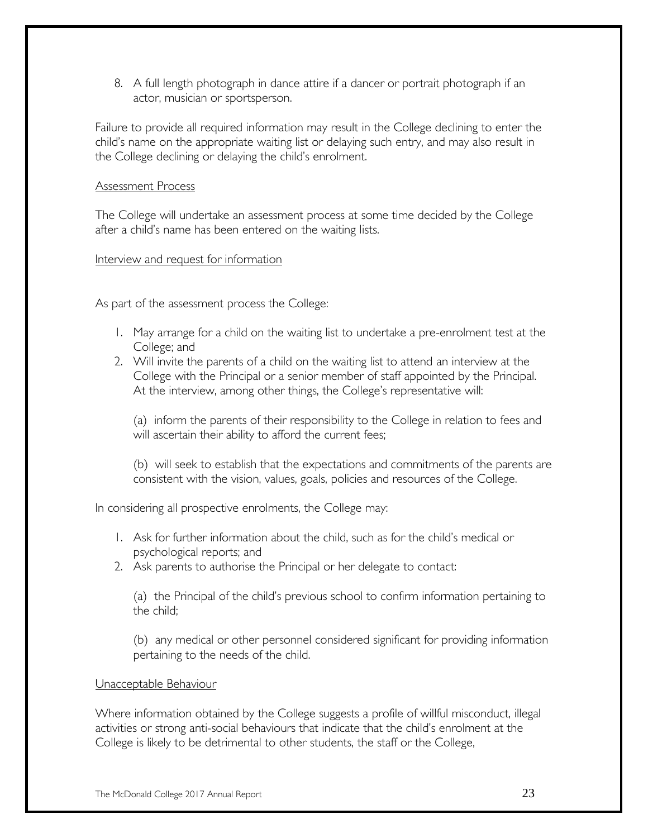8. A full length photograph in dance attire if a dancer or portrait photograph if an actor, musician or sportsperson.

Failure to provide all required information may result in the College declining to enter the child's name on the appropriate waiting list or delaying such entry, and may also result in the College declining or delaying the child's enrolment.

#### Assessment Process

The College will undertake an assessment process at some time decided by the College after a child's name has been entered on the waiting lists.

#### Interview and request for information

As part of the assessment process the College:

- 1. May arrange for a child on the waiting list to undertake a pre-enrolment test at the College; and
- 2. Will invite the parents of a child on the waiting list to attend an interview at the College with the Principal or a senior member of staff appointed by the Principal. At the interview, among other things, the College's representative will:

(a) inform the parents of their responsibility to the College in relation to fees and will ascertain their ability to afford the current fees;

(b) will seek to establish that the expectations and commitments of the parents are consistent with the vision, values, goals, policies and resources of the College.

In considering all prospective enrolments, the College may:

- 1. Ask for further information about the child, such as for the child's medical or psychological reports; and
- 2. Ask parents to authorise the Principal or her delegate to contact:

(a) the Principal of the child's previous school to confirm information pertaining to the child;

(b) any medical or other personnel considered significant for providing information pertaining to the needs of the child.

#### Unacceptable Behaviour

Where information obtained by the College suggests a profile of willful misconduct, illegal activities or strong anti-social behaviours that indicate that the child's enrolment at the College is likely to be detrimental to other students, the staff or the College,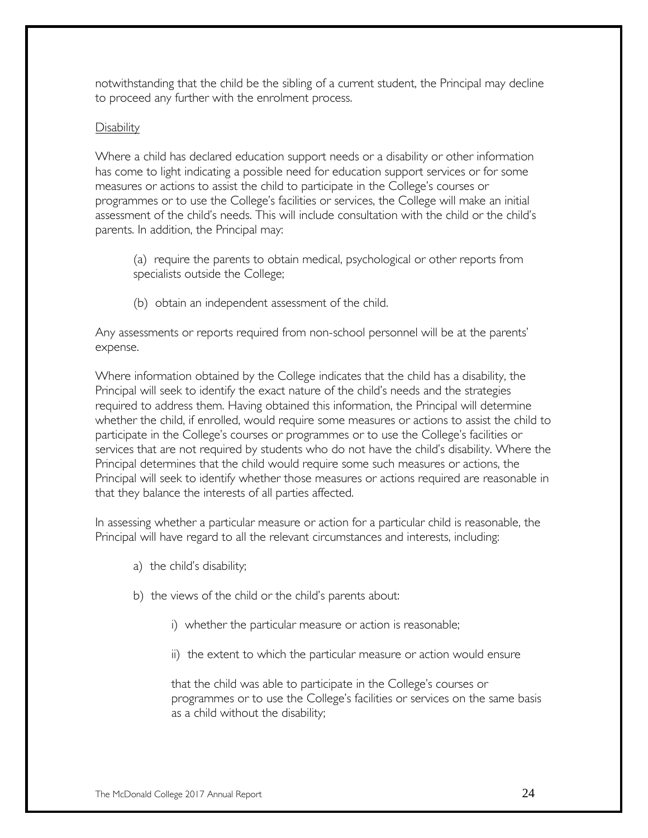notwithstanding that the child be the sibling of a current student, the Principal may decline to proceed any further with the enrolment process.

#### **Disability**

Where a child has declared education support needs or a disability or other information has come to light indicating a possible need for education support services or for some measures or actions to assist the child to participate in the College's courses or programmes or to use the College's facilities or services, the College will make an initial assessment of the child's needs. This will include consultation with the child or the child's parents. In addition, the Principal may:

- (a) require the parents to obtain medical, psychological or other reports from specialists outside the College;
- (b) obtain an independent assessment of the child.

Any assessments or reports required from non-school personnel will be at the parents' expense.

Where information obtained by the College indicates that the child has a disability, the Principal will seek to identify the exact nature of the child's needs and the strategies required to address them. Having obtained this information, the Principal will determine whether the child, if enrolled, would require some measures or actions to assist the child to participate in the College's courses or programmes or to use the College's facilities or services that are not required by students who do not have the child's disability. Where the Principal determines that the child would require some such measures or actions, the Principal will seek to identify whether those measures or actions required are reasonable in that they balance the interests of all parties affected.

In assessing whether a particular measure or action for a particular child is reasonable, the Principal will have regard to all the relevant circumstances and interests, including:

- a) the child's disability;
- b) the views of the child or the child's parents about:
	- i) whether the particular measure or action is reasonable;
	- ii) the extent to which the particular measure or action would ensure

that the child was able to participate in the College's courses or programmes or to use the College's facilities or services on the same basis as a child without the disability;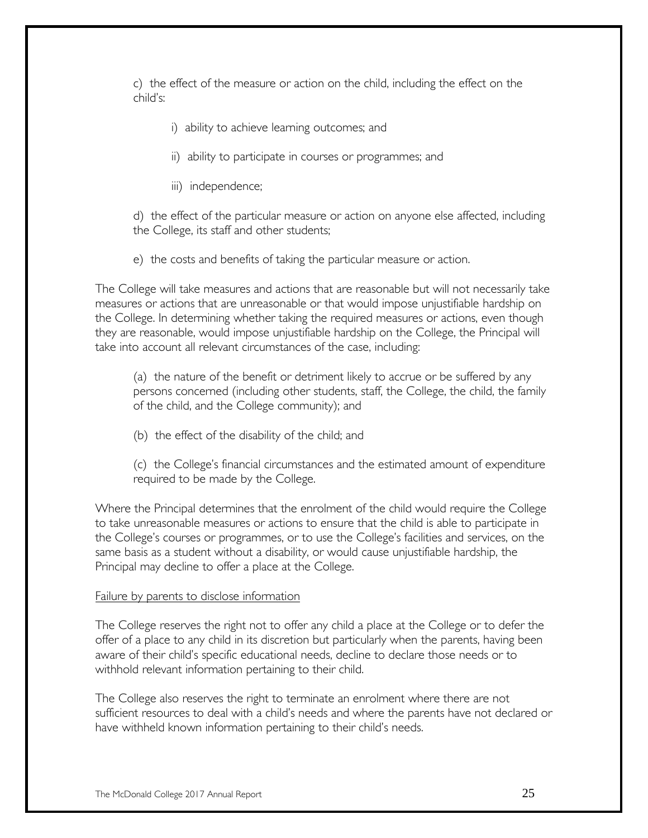c) the effect of the measure or action on the child, including the effect on the child's:

- i) ability to achieve learning outcomes; and
- ii) ability to participate in courses or programmes; and
- iii) independence;

d) the effect of the particular measure or action on anyone else affected, including the College, its staff and other students;

e) the costs and benefits of taking the particular measure or action.

The College will take measures and actions that are reasonable but will not necessarily take measures or actions that are unreasonable or that would impose unjustifiable hardship on the College. In determining whether taking the required measures or actions, even though they are reasonable, would impose unjustifiable hardship on the College, the Principal will take into account all relevant circumstances of the case, including:

(a) the nature of the benefit or detriment likely to accrue or be suffered by any persons concerned (including other students, staff, the College, the child, the family of the child, and the College community); and

(b) the effect of the disability of the child; and

(c) the College's financial circumstances and the estimated amount of expenditure required to be made by the College.

Where the Principal determines that the enrolment of the child would require the College to take unreasonable measures or actions to ensure that the child is able to participate in the College's courses or programmes, or to use the College's facilities and services, on the same basis as a student without a disability, or would cause unjustifiable hardship, the Principal may decline to offer a place at the College.

#### Failure by parents to disclose information

The College reserves the right not to offer any child a place at the College or to defer the offer of a place to any child in its discretion but particularly when the parents, having been aware of their child's specific educational needs, decline to declare those needs or to withhold relevant information pertaining to their child.

The College also reserves the right to terminate an enrolment where there are not sufficient resources to deal with a child's needs and where the parents have not declared or have withheld known information pertaining to their child's needs.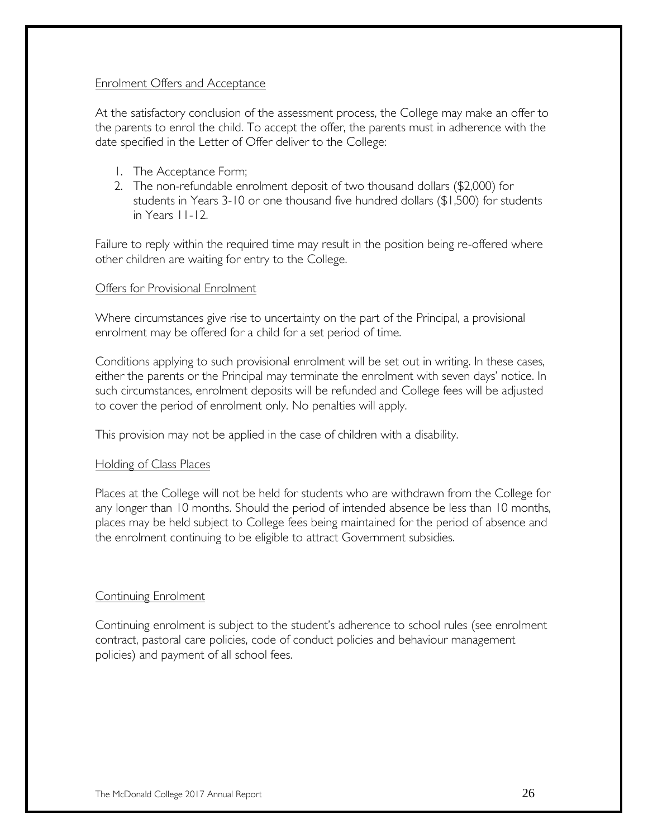#### Enrolment Offers and Acceptance

At the satisfactory conclusion of the assessment process, the College may make an offer to the parents to enrol the child. To accept the offer, the parents must in adherence with the date specified in the Letter of Offer deliver to the College:

- 1. The Acceptance Form;
- 2. The non-refundable enrolment deposit of two thousand dollars (\$2,000) for students in Years 3-10 or one thousand five hundred dollars (\$1,500) for students in Years 11-12.

Failure to reply within the required time may result in the position being re-offered where other children are waiting for entry to the College.

#### Offers for Provisional Enrolment

Where circumstances give rise to uncertainty on the part of the Principal, a provisional enrolment may be offered for a child for a set period of time.

Conditions applying to such provisional enrolment will be set out in writing. In these cases, either the parents or the Principal may terminate the enrolment with seven days' notice. In such circumstances, enrolment deposits will be refunded and College fees will be adjusted to cover the period of enrolment only. No penalties will apply.

This provision may not be applied in the case of children with a disability.

#### Holding of Class Places

Places at the College will not be held for students who are withdrawn from the College for any longer than 10 months. Should the period of intended absence be less than 10 months, places may be held subject to College fees being maintained for the period of absence and the enrolment continuing to be eligible to attract Government subsidies.

#### Continuing Enrolment

Continuing enrolment is subject to the student's adherence to school rules (see enrolment contract, pastoral care policies, code of conduct policies and behaviour management policies) and payment of all school fees.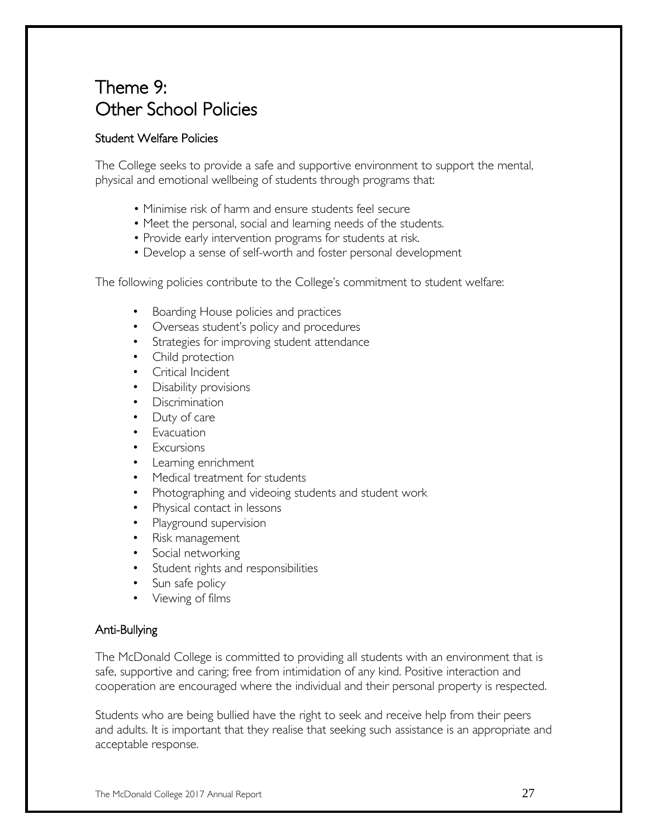### Theme 9: Other School Policies

#### Student Welfare Policies

The College seeks to provide a safe and supportive environment to support the mental, physical and emotional wellbeing of students through programs that:

- Minimise risk of harm and ensure students feel secure
- Meet the personal, social and learning needs of the students.
- Provide early intervention programs for students at risk.
- Develop a sense of self-worth and foster personal development

The following policies contribute to the College's commitment to student welfare:

- Boarding House policies and practices
- Overseas student's policy and procedures
- Strategies for improving student attendance
- Child protection
- Critical Incident
- Disability provisions
- Discrimination
- Duty of care
- Evacuation
- Excursions
- Learning enrichment
- Medical treatment for students
- Photographing and videoing students and student work
- Physical contact in lessons
- Playground supervision
- Risk management
- Social networking
- Student rights and responsibilities
- Sun safe policy
- Viewing of films

#### Anti-Bullying

The McDonald College is committed to providing all students with an environment that is safe, supportive and caring; free from intimidation of any kind. Positive interaction and cooperation are encouraged where the individual and their personal property is respected.

Students who are being bullied have the right to seek and receive help from their peers and adults. It is important that they realise that seeking such assistance is an appropriate and acceptable response.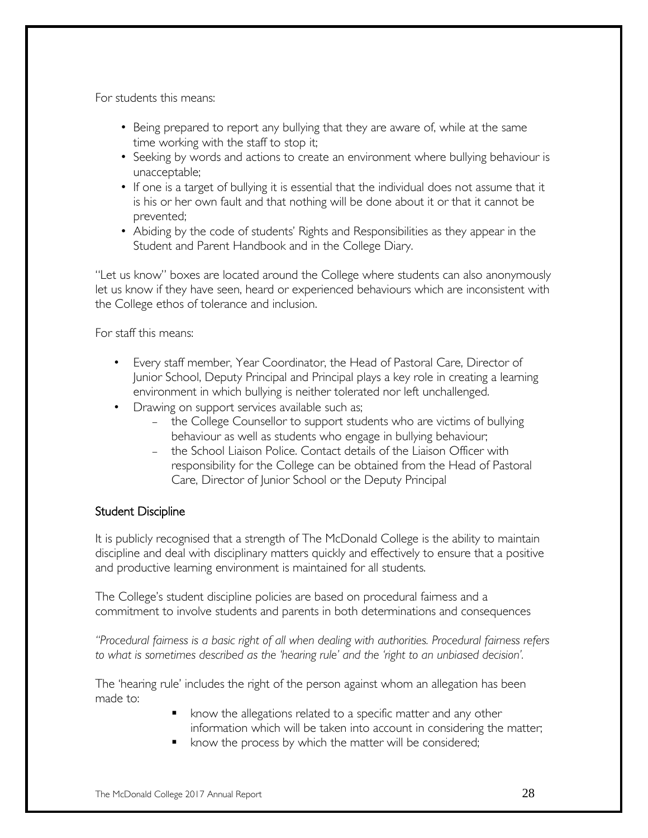For students this means:

- Being prepared to report any bullying that they are aware of, while at the same time working with the staff to stop it;
- Seeking by words and actions to create an environment where bullying behaviour is unacceptable;
- If one is a target of bullying it is essential that the individual does not assume that it is his or her own fault and that nothing will be done about it or that it cannot be prevented;
- Abiding by the code of students' Rights and Responsibilities as they appear in the Student and Parent Handbook and in the College Diary.

"Let us know" boxes are located around the College where students can also anonymously let us know if they have seen, heard or experienced behaviours which are inconsistent with the College ethos of tolerance and inclusion.

For staff this means:

- Every staff member, Year Coordinator, the Head of Pastoral Care, Director of Junior School, Deputy Principal and Principal plays a key role in creating a learning environment in which bullying is neither tolerated nor left unchallenged.
- Drawing on support services available such as;
	- the College Counsellor to support students who are victims of bullying behaviour as well as students who engage in bullying behaviour;
	- the School Liaison Police. Contact details of the Liaison Officer with responsibility for the College can be obtained from the Head of Pastoral Care, Director of Junior School or the Deputy Principal

#### Student Discipline

It is publicly recognised that a strength of The McDonald College is the ability to maintain discipline and deal with disciplinary matters quickly and effectively to ensure that a positive and productive learning environment is maintained for all students.

The College's student discipline policies are based on procedural fairness and a commitment to involve students and parents in both determinations and consequences

*"Procedural fairness is a basic right of all when dealing with authorities. Procedural fairness refers to what is sometimes described as the 'hearing rule' and the 'right to an unbiased decision'.*

The 'hearing rule' includes the right of the person against whom an allegation has been made to:

- know the allegations related to a specific matter and any other information which will be taken into account in considering the matter;
- know the process by which the matter will be considered;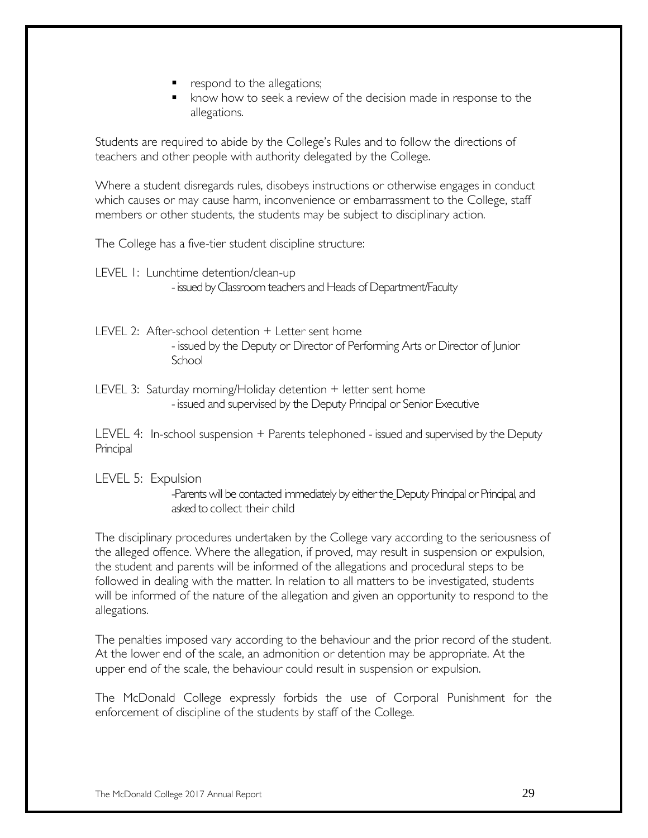- respond to the allegations;
- know how to seek a review of the decision made in response to the allegations.

Students are required to abide by the College's Rules and to follow the directions of teachers and other people with authority delegated by the College.

Where a student disregards rules, disobeys instructions or otherwise engages in conduct which causes or may cause harm, inconvenience or embarrassment to the College, staff members or other students, the students may be subject to disciplinary action.

The College has a five-tier student discipline structure:

LEVEL 1: Lunchtime detention/clean-up -issued by Classroom teachers and Heads of Department/Faculty

- LEVEL 2: After-school detention + Letter sent home - issued by the Deputy or Director of Performing Arts or Director of Junior School
- LEVEL 3: Saturday morning/Holiday detention + letter sent home -issued and supervised by the Deputy Principal or Senior Executive

LEVEL 4: In-school suspension + Parents telephoned - issued and supervised by the Deputy **Principal** 

#### LEVEL 5: Expulsion

-Parents will be contacted immediately by either the Deputy Principal or Principal, and asked to collect their child

The disciplinary procedures undertaken by the College vary according to the seriousness of the alleged offence. Where the allegation, if proved, may result in suspension or expulsion, the student and parents will be informed of the allegations and procedural steps to be followed in dealing with the matter. In relation to all matters to be investigated, students will be informed of the nature of the allegation and given an opportunity to respond to the allegations.

The penalties imposed vary according to the behaviour and the prior record of the student. At the lower end of the scale, an admonition or detention may be appropriate. At the upper end of the scale, the behaviour could result in suspension or expulsion.

The McDonald College expressly forbids the use of Corporal Punishment for the enforcement of discipline of the students by staff of the College.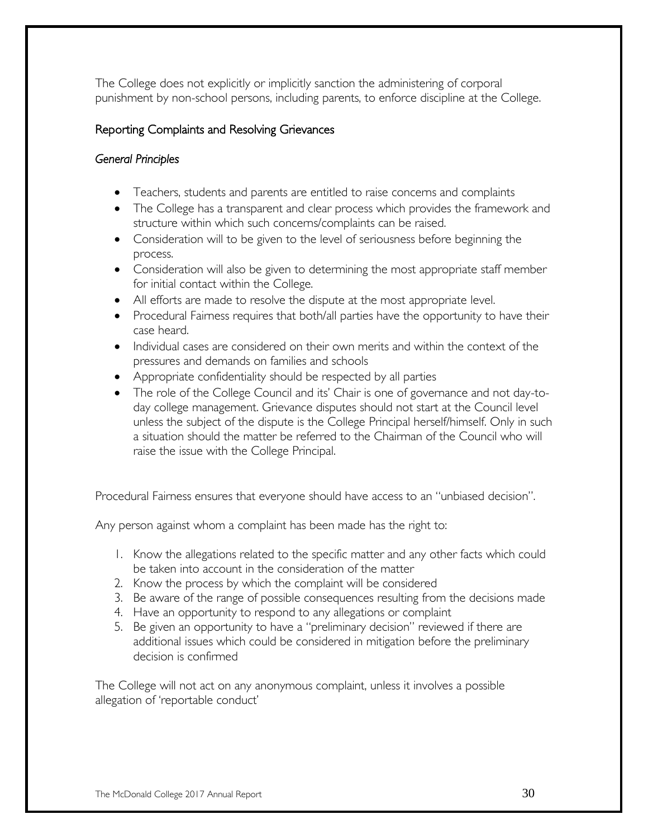The College does not explicitly or implicitly sanction the administering of corporal punishment by non-school persons, including parents, to enforce discipline at the College.

#### Reporting Complaints and Resolving Grievances

#### *General Principles*

- Teachers, students and parents are entitled to raise concerns and complaints
- The College has a transparent and clear process which provides the framework and structure within which such concerns/complaints can be raised.
- Consideration will to be given to the level of seriousness before beginning the process.
- Consideration will also be given to determining the most appropriate staff member for initial contact within the College.
- All efforts are made to resolve the dispute at the most appropriate level.
- Procedural Fairness requires that both/all parties have the opportunity to have their case heard.
- Individual cases are considered on their own merits and within the context of the pressures and demands on families and schools
- Appropriate confidentiality should be respected by all parties
- The role of the College Council and its' Chair is one of governance and not day-today college management. Grievance disputes should not start at the Council level unless the subject of the dispute is the College Principal herself/himself. Only in such a situation should the matter be referred to the Chairman of the Council who will raise the issue with the College Principal.

Procedural Fairness ensures that everyone should have access to an "unbiased decision".

Any person against whom a complaint has been made has the right to:

- 1. Know the allegations related to the specific matter and any other facts which could be taken into account in the consideration of the matter
- 2. Know the process by which the complaint will be considered
- 3. Be aware of the range of possible consequences resulting from the decisions made
- 4. Have an opportunity to respond to any allegations or complaint
- 5. Be given an opportunity to have a "preliminary decision" reviewed if there are additional issues which could be considered in mitigation before the preliminary decision is confirmed

The College will not act on any anonymous complaint, unless it involves a possible allegation of 'reportable conduct'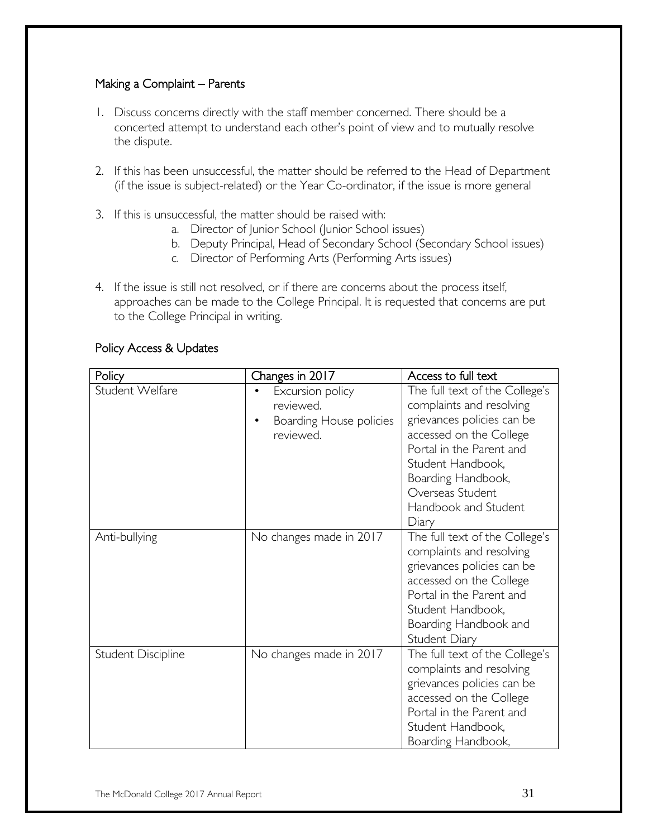#### Making a Complaint – Parents

- 1. Discuss concerns directly with the staff member concerned. There should be a concerted attempt to understand each other's point of view and to mutually resolve the dispute.
- 2. If this has been unsuccessful, the matter should be referred to the Head of Department (if the issue is subject-related) or the Year Co-ordinator, if the issue is more general
- 3. If this is unsuccessful, the matter should be raised with:
	- a. Director of Junior School (Junior School issues)
	- b. Deputy Principal, Head of Secondary School (Secondary School issues)
	- c. Director of Performing Arts (Performing Arts issues)
- 4. If the issue is still not resolved, or if there are concerns about the process itself, approaches can be made to the College Principal. It is requested that concerns are put to the College Principal in writing.

#### Policy Access & Updates

| Policy             | Changes in 2017                                                       | Access to full text                                                                                                                                                                                                                             |
|--------------------|-----------------------------------------------------------------------|-------------------------------------------------------------------------------------------------------------------------------------------------------------------------------------------------------------------------------------------------|
| Student Welfare    | Excursion policy<br>reviewed.<br>Boarding House policies<br>reviewed. | The full text of the College's<br>complaints and resolving<br>grievances policies can be<br>accessed on the College<br>Portal in the Parent and<br>Student Handbook,<br>Boarding Handbook,<br>Overseas Student<br>Handbook and Student<br>Diary |
| Anti-bullying      | No changes made in 2017                                               | The full text of the College's<br>complaints and resolving<br>grievances policies can be<br>accessed on the College<br>Portal in the Parent and<br>Student Handbook,<br>Boarding Handbook and<br>Student Diary                                  |
| Student Discipline | No changes made in 2017                                               | The full text of the College's<br>complaints and resolving<br>grievances policies can be<br>accessed on the College<br>Portal in the Parent and<br>Student Handbook,<br>Boarding Handbook,                                                      |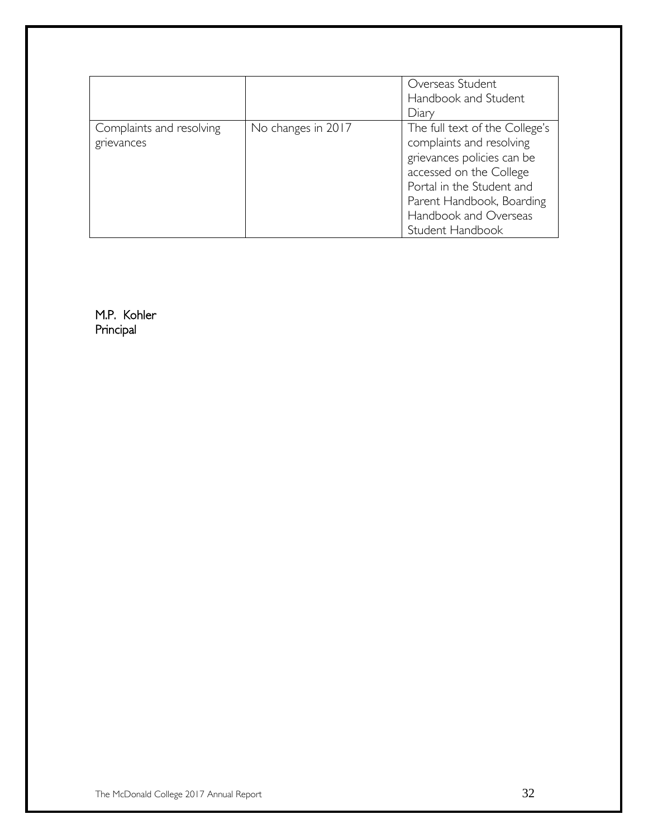|                                        |                    | Overseas Student<br>Handbook and Student<br>Diary                                                                                                                                                                          |
|----------------------------------------|--------------------|----------------------------------------------------------------------------------------------------------------------------------------------------------------------------------------------------------------------------|
| Complaints and resolving<br>grievances | No changes in 2017 | The full text of the College's<br>complaints and resolving<br>grievances policies can be<br>accessed on the College<br>Portal in the Student and<br>Parent Handbook, Boarding<br>Handbook and Overseas<br>Student Handbook |

M.P. Kohler Principal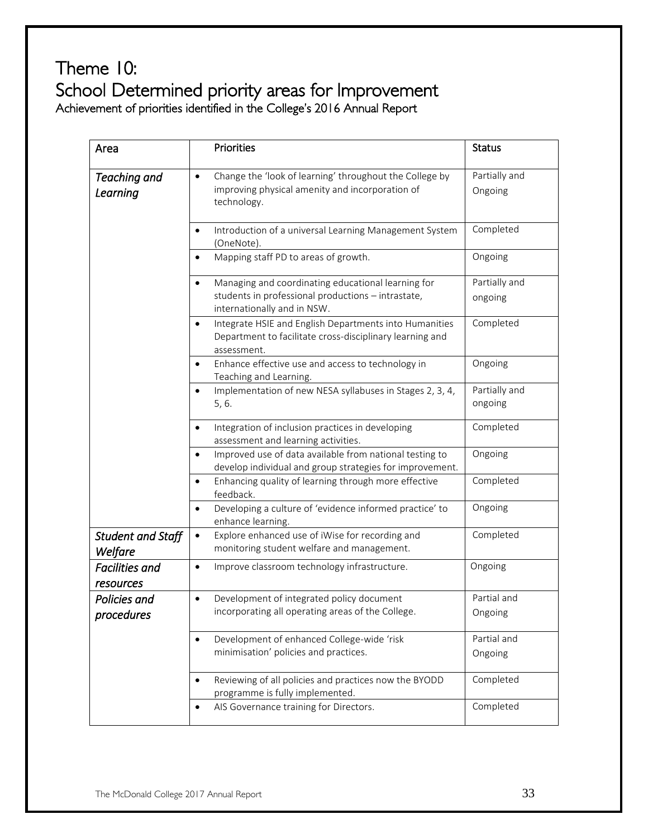### Theme 10: School Determined priority areas for Improvement Achievement of priorities identified in the College's 2016 Annual Report

| Area                                | Priorities                                                                                                                                           | <b>Status</b>            |
|-------------------------------------|------------------------------------------------------------------------------------------------------------------------------------------------------|--------------------------|
| Teaching and<br>Learning            | Change the 'look of learning' throughout the College by<br>$\bullet$<br>improving physical amenity and incorporation of<br>technology.               | Partially and<br>Ongoing |
|                                     | Introduction of a universal Learning Management System<br>$\bullet$<br>(OneNote).                                                                    | Completed                |
|                                     | Mapping staff PD to areas of growth.<br>$\bullet$                                                                                                    | Ongoing                  |
|                                     | Managing and coordinating educational learning for<br>$\bullet$<br>students in professional productions - intrastate,<br>internationally and in NSW. | Partially and<br>ongoing |
|                                     | Integrate HSIE and English Departments into Humanities<br>$\bullet$<br>Department to facilitate cross-disciplinary learning and<br>assessment.       | Completed                |
|                                     | Enhance effective use and access to technology in<br>$\bullet$<br>Teaching and Learning.                                                             | Ongoing                  |
|                                     | Implementation of new NESA syllabuses in Stages 2, 3, 4,<br>$\bullet$<br>5, 6.                                                                       | Partially and<br>ongoing |
|                                     | Integration of inclusion practices in developing<br>$\bullet$<br>assessment and learning activities.                                                 | Completed                |
|                                     | Improved use of data available from national testing to<br>$\bullet$<br>develop individual and group strategies for improvement.                     | Ongoing                  |
|                                     | Enhancing quality of learning through more effective<br>$\bullet$<br>feedback.                                                                       | Completed                |
|                                     | Developing a culture of 'evidence informed practice' to<br>$\bullet$<br>enhance learning.                                                            | Ongoing                  |
| <b>Student and Staff</b><br>Welfare | Explore enhanced use of iWise for recording and<br>$\bullet$<br>monitoring student welfare and management.                                           | Completed                |
| <b>Facilities and</b><br>resources  | Improve classroom technology infrastructure.<br>$\bullet$                                                                                            | Ongoing                  |
| Policies and<br>procedures          | Development of integrated policy document<br>$\bullet$<br>incorporating all operating areas of the College.                                          | Partial and<br>Ongoing   |
|                                     | Development of enhanced College-wide 'risk<br>$\bullet$<br>minimisation' policies and practices.                                                     | Partial and<br>Ongoing   |
|                                     | Reviewing of all policies and practices now the BYODD<br>$\bullet$<br>programme is fully implemented.                                                | Completed                |
|                                     | AIS Governance training for Directors.<br>$\bullet$                                                                                                  | Completed                |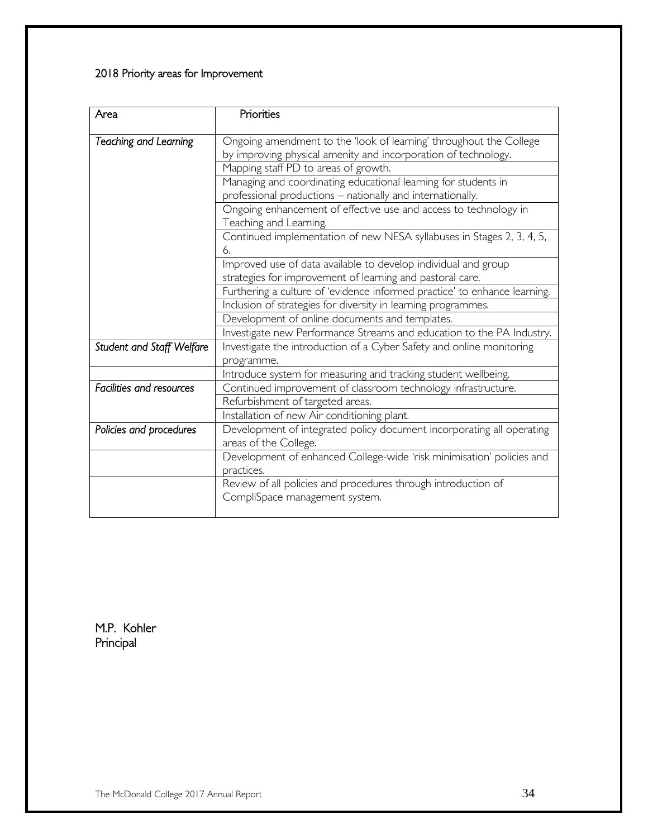### 2018 Priority areas for Improvement

| Area                      | Priorities                                                                |
|---------------------------|---------------------------------------------------------------------------|
| Teaching and Learning     | Ongoing amendment to the 'look of learning' throughout the College        |
|                           | by improving physical amenity and incorporation of technology.            |
|                           | Mapping staff PD to areas of growth.                                      |
|                           | Managing and coordinating educational learning for students in            |
|                           | professional productions - nationally and internationally.                |
|                           | Ongoing enhancement of effective use and access to technology in          |
|                           | Teaching and Learning.                                                    |
|                           | Continued implementation of new NESA syllabuses in Stages 2, 3, 4, 5,     |
|                           | 6.                                                                        |
|                           | Improved use of data available to develop individual and group            |
|                           | strategies for improvement of learning and pastoral care.                 |
|                           | Furthering a culture of 'evidence informed practice' to enhance learning. |
|                           | Inclusion of strategies for diversity in learning programmes.             |
|                           | Development of online documents and templates.                            |
|                           | Investigate new Performance Streams and education to the PA Industry.     |
| Student and Staff Welfare | Investigate the introduction of a Cyber Safety and online monitoring      |
|                           | programme.                                                                |
|                           | Introduce system for measuring and tracking student wellbeing.            |
| Facilities and resources  | Continued improvement of classroom technology infrastructure.             |
|                           | Refurbishment of targeted areas.                                          |
|                           | Installation of new Air conditioning plant.                               |
| Policies and procedures   | Development of integrated policy document incorporating all operating     |
|                           | areas of the College.                                                     |
|                           | Development of enhanced College-wide 'risk minimisation' policies and     |
|                           | practices.                                                                |
|                           | Review of all policies and procedures through introduction of             |
|                           | CompliSpace management system.                                            |
|                           |                                                                           |

M.P. Kohler Principal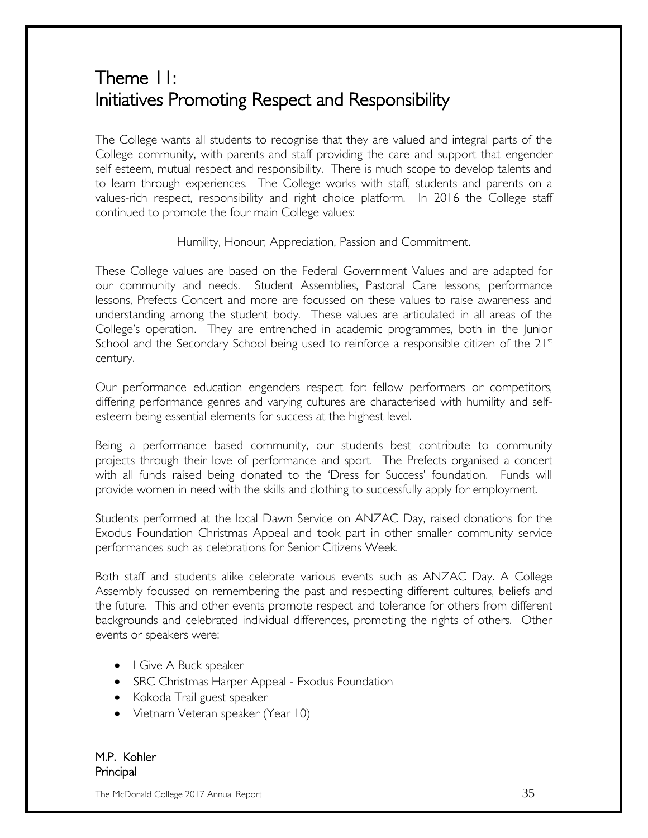# Theme 11: Initiatives Promoting Respect and Responsibility

The College wants all students to recognise that they are valued and integral parts of the College community, with parents and staff providing the care and support that engender self esteem, mutual respect and responsibility. There is much scope to develop talents and to learn through experiences. The College works with staff, students and parents on a values-rich respect, responsibility and right choice platform. In 2016 the College staff continued to promote the four main College values:

Humility, Honour; Appreciation, Passion and Commitment.

These College values are based on the Federal Government Values and are adapted for our community and needs. Student Assemblies, Pastoral Care lessons, performance lessons, Prefects Concert and more are focussed on these values to raise awareness and understanding among the student body. These values are articulated in all areas of the College's operation. They are entrenched in academic programmes, both in the Junior School and the Secondary School being used to reinforce a responsible citizen of the  $21<sup>st</sup>$ century.

Our performance education engenders respect for: fellow performers or competitors, differing performance genres and varying cultures are characterised with humility and selfesteem being essential elements for success at the highest level.

Being a performance based community, our students best contribute to community projects through their love of performance and sport. The Prefects organised a concert with all funds raised being donated to the 'Dress for Success' foundation. Funds will provide women in need with the skills and clothing to successfully apply for employment.

Students performed at the local Dawn Service on ANZAC Day, raised donations for the Exodus Foundation Christmas Appeal and took part in other smaller community service performances such as celebrations for Senior Citizens Week.

Both staff and students alike celebrate various events such as ANZAC Day. A College Assembly focussed on remembering the past and respecting different cultures, beliefs and the future. This and other events promote respect and tolerance for others from different backgrounds and celebrated individual differences, promoting the rights of others. Other events or speakers were:

- I Give A Buck speaker
- SRC Christmas Harper Appeal Exodus Foundation
- Kokoda Trail guest speaker
- Vietnam Veteran speaker (Year 10)

M.P. Kohler Principal

The McDonald College 2017 Annual Report  $35\,$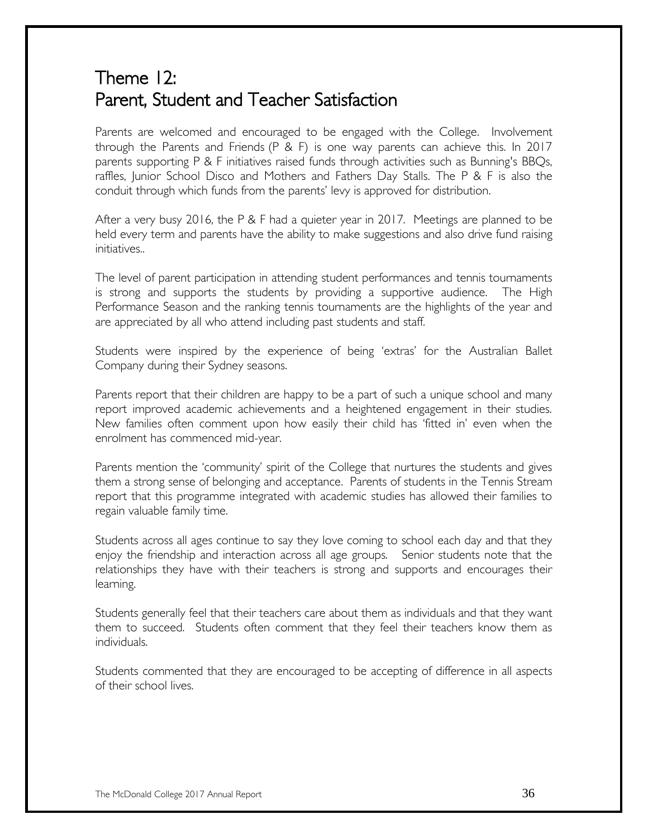### Theme 12: Parent, Student and Teacher Satisfaction

Parents are welcomed and encouraged to be engaged with the College. Involvement through the Parents and Friends (P & F) is one way parents can achieve this. In 2017 parents supporting P & F initiatives raised funds through activities such as Bunning's BBQs, raffles, Junior School Disco and Mothers and Fathers Day Stalls. The P & F is also the conduit through which funds from the parents' levy is approved for distribution.

After a very busy 2016, the P & F had a quieter year in 2017. Meetings are planned to be held every term and parents have the ability to make suggestions and also drive fund raising initiatives..

The level of parent participation in attending student performances and tennis tournaments is strong and supports the students by providing a supportive audience. The High Performance Season and the ranking tennis tournaments are the highlights of the year and are appreciated by all who attend including past students and staff.

Students were inspired by the experience of being 'extras' for the Australian Ballet Company during their Sydney seasons.

Parents report that their children are happy to be a part of such a unique school and many report improved academic achievements and a heightened engagement in their studies. New families often comment upon how easily their child has 'fitted in' even when the enrolment has commenced mid-year.

Parents mention the 'community' spirit of the College that nurtures the students and gives them a strong sense of belonging and acceptance. Parents of students in the Tennis Stream report that this programme integrated with academic studies has allowed their families to regain valuable family time.

Students across all ages continue to say they love coming to school each day and that they enjoy the friendship and interaction across all age groups. Senior students note that the relationships they have with their teachers is strong and supports and encourages their learning.

Students generally feel that their teachers care about them as individuals and that they want them to succeed. Students often comment that they feel their teachers know them as individuals.

Students commented that they are encouraged to be accepting of difference in all aspects of their school lives.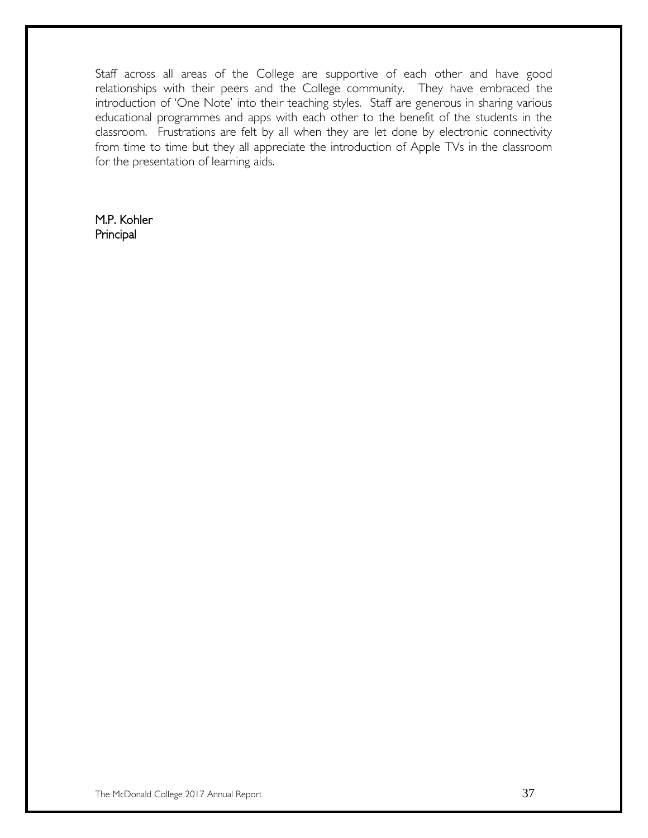Staff across all areas of the College are supportive of each other and have good relationships with their peers and the College community. They have embraced the introduction of 'One Note' into their teaching styles. Staff are generous in sharing various educational programmes and apps with each other to the benefit of the students in the classroom. Frustrations are felt by all when they are let done by electronic connectivity from time to time but they all appreciate the introduction of Apple TVs in the classroom for the presentation of learning aids.

M.P. Kohler Principal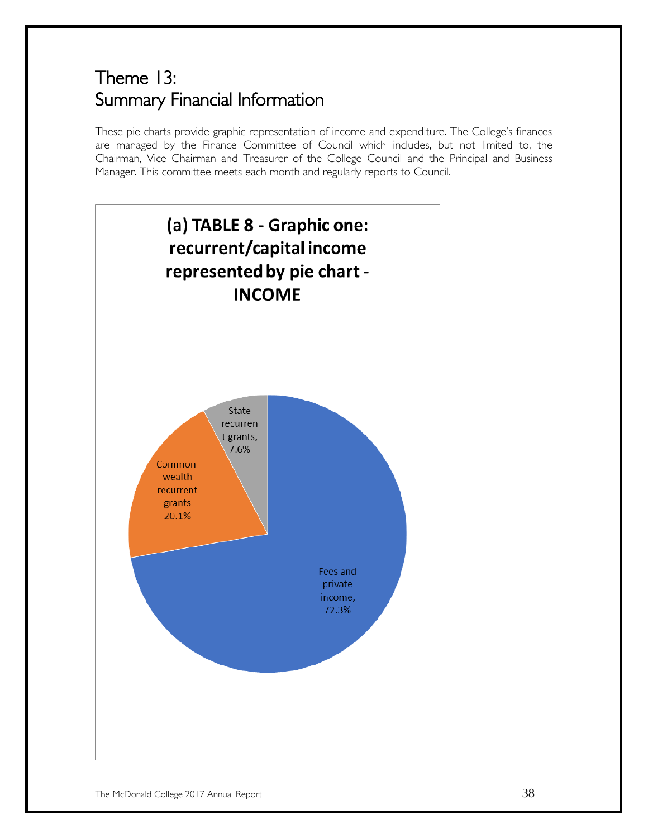# Theme 13: Summary Financial Information

These pie charts provide graphic representation of income and expenditure. The College's finances are managed by the Finance Committee of Council which includes, but not limited to, the Chairman, Vice Chairman and Treasurer of the College Council and the Principal and Business Manager. This committee meets each month and regularly reports to Council.

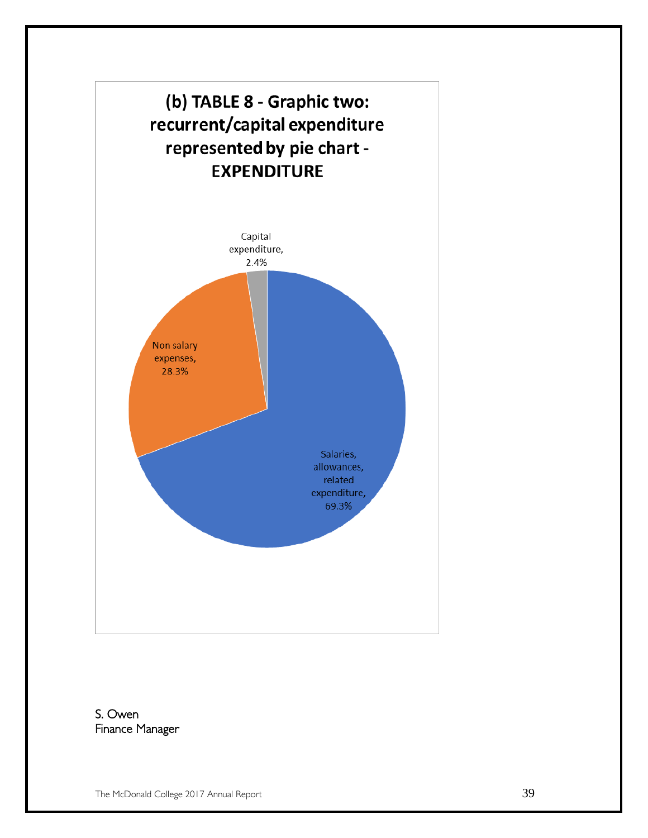

S. Owen Finance Manager